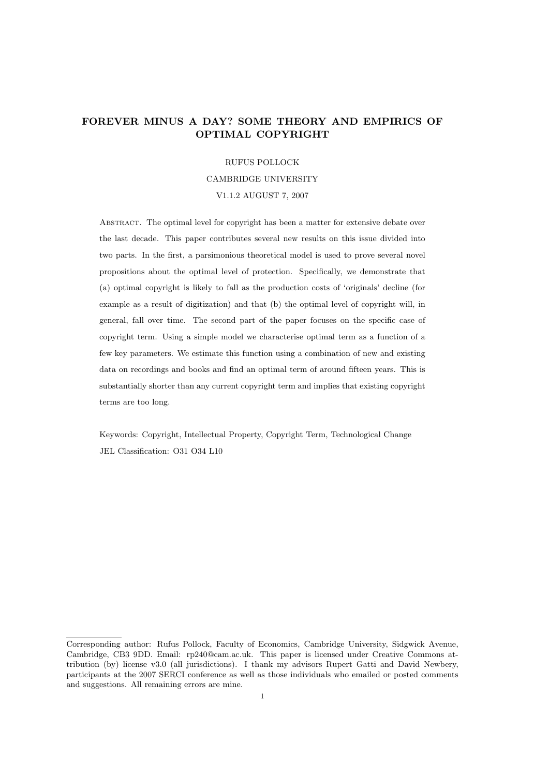# FOREVER MINUS A DAY? SOME THEORY AND EMPIRICS OF OPTIMAL COPYRIGHT

#### RUFUS POLLOCK

## CAMBRIDGE UNIVERSITY

### V1.1.2 AUGUST 7, 2007

Abstract. The optimal level for copyright has been a matter for extensive debate over the last decade. This paper contributes several new results on this issue divided into two parts. In the first, a parsimonious theoretical model is used to prove several novel propositions about the optimal level of protection. Specifically, we demonstrate that (a) optimal copyright is likely to fall as the production costs of 'originals' decline (for example as a result of digitization) and that (b) the optimal level of copyright will, in general, fall over time. The second part of the paper focuses on the specific case of copyright term. Using a simple model we characterise optimal term as a function of a few key parameters. We estimate this function using a combination of new and existing data on recordings and books and find an optimal term of around fifteen years. This is substantially shorter than any current copyright term and implies that existing copyright terms are too long.

Keywords: Copyright, Intellectual Property, Copyright Term, Technological Change JEL Classification: O31 O34 L10

Corresponding author: Rufus Pollock, Faculty of Economics, Cambridge University, Sidgwick Avenue, Cambridge, CB3 9DD. Email: rp240@cam.ac.uk. This paper is licensed under Creative Commons attribution (by) license v3.0 (all jurisdictions). I thank my advisors Rupert Gatti and David Newbery, participants at the 2007 SERCI conference as well as those individuals who emailed or posted comments and suggestions. All remaining errors are mine.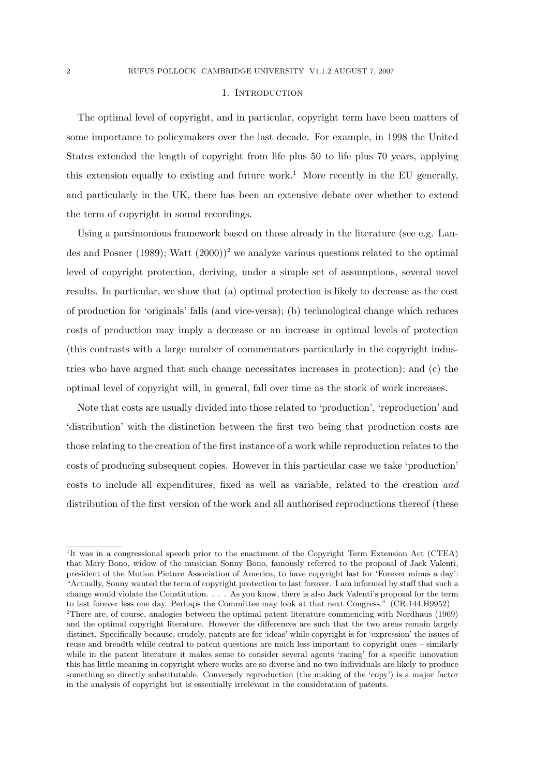### 1. INTRODUCTION

The optimal level of copyright, and in particular, copyright term have been matters of some importance to policymakers over the last decade. For example, in 1998 the United States extended the length of copyright from life plus 50 to life plus 70 years, applying this extension equally to existing and future work.<sup>1</sup> More recently in the EU generally, and particularly in the UK, there has been an extensive debate over whether to extend the term of copyright in sound recordings.

Using a parsimonious framework based on those already in the literature (see e.g. Landes and Posner (1989); Watt  $(2000)^2$  we analyze various questions related to the optimal level of copyright protection, deriving, under a simple set of assumptions, several novel results. In particular, we show that (a) optimal protection is likely to decrease as the cost of production for 'originals' falls (and vice-versa); (b) technological change which reduces costs of production may imply a decrease or an increase in optimal levels of protection (this contrasts with a large number of commentators particularly in the copyright industries who have argued that such change necessitates increases in protection); and (c) the optimal level of copyright will, in general, fall over time as the stock of work increases.

Note that costs are usually divided into those related to 'production', 'reproduction' and 'distribution' with the distinction between the first two being that production costs are those relating to the creation of the first instance of a work while reproduction relates to the costs of producing subsequent copies. However in this particular case we take 'production' costs to include all expenditures, fixed as well as variable, related to the creation and distribution of the first version of the work and all authorised reproductions thereof (these

<sup>1</sup>It was in a congressional speech prior to the enactment of the Copyright Term Extension Act (CTEA) that Mary Bono, widow of the musician Sonny Bono, famously referred to the proposal of Jack Valenti, president of the Motion Picture Association of America, to have copyright last for 'Forever minus a day': "Actually, Sonny wanted the term of copyright protection to last forever. I am informed by staff that such a change would violate the Constitution. . . . As you know, there is also Jack Valenti's proposal for the term to last forever less one day. Perhaps the Committee may look at that next Congress." (CR.144.H9952) <sup>2</sup>There are, of course, analogies between the optimal patent literature commencing with Nordhaus (1969) and the optimal copyright literature. However the differences are such that the two areas remain largely distinct. Specifically because, crudely, patents are for 'ideas' while copyright is for 'expression' the issues of reuse and breadth while central to patent questions are much less important to copyright ones – similarly

while in the patent literature it makes sense to consider several agents 'racing' for a specific innovation this has little meaning in copyright where works are so diverse and no two individuals are likely to produce something so directly substitutable. Conversely reproduction (the making of the 'copy') is a major factor in the analysis of copyright but is essentially irrelevant in the consideration of patents.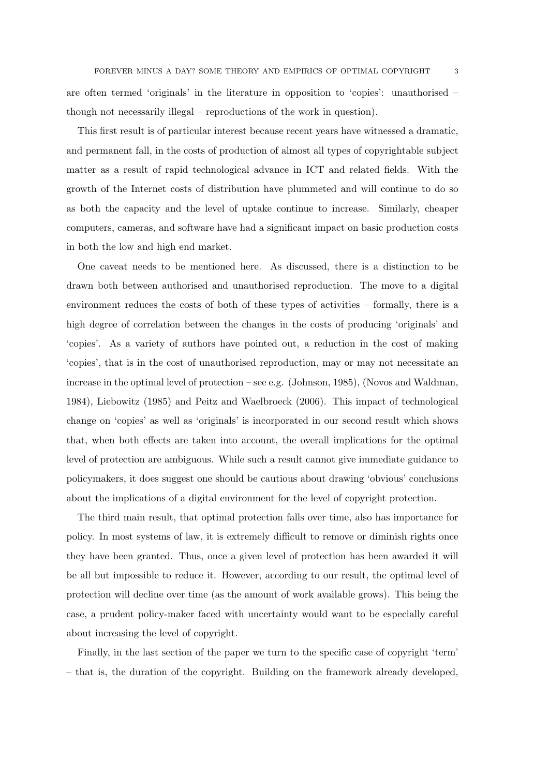are often termed 'originals' in the literature in opposition to 'copies': unauthorised – though not necessarily illegal – reproductions of the work in question).

This first result is of particular interest because recent years have witnessed a dramatic, and permanent fall, in the costs of production of almost all types of copyrightable subject matter as a result of rapid technological advance in ICT and related fields. With the growth of the Internet costs of distribution have plummeted and will continue to do so as both the capacity and the level of uptake continue to increase. Similarly, cheaper computers, cameras, and software have had a significant impact on basic production costs in both the low and high end market.

One caveat needs to be mentioned here. As discussed, there is a distinction to be drawn both between authorised and unauthorised reproduction. The move to a digital environment reduces the costs of both of these types of activities – formally, there is a high degree of correlation between the changes in the costs of producing 'originals' and 'copies'. As a variety of authors have pointed out, a reduction in the cost of making 'copies', that is in the cost of unauthorised reproduction, may or may not necessitate an increase in the optimal level of protection – see e.g. (Johnson, 1985), (Novos and Waldman, 1984), Liebowitz (1985) and Peitz and Waelbroeck (2006). This impact of technological change on 'copies' as well as 'originals' is incorporated in our second result which shows that, when both effects are taken into account, the overall implications for the optimal level of protection are ambiguous. While such a result cannot give immediate guidance to policymakers, it does suggest one should be cautious about drawing 'obvious' conclusions about the implications of a digital environment for the level of copyright protection.

The third main result, that optimal protection falls over time, also has importance for policy. In most systems of law, it is extremely difficult to remove or diminish rights once they have been granted. Thus, once a given level of protection has been awarded it will be all but impossible to reduce it. However, according to our result, the optimal level of protection will decline over time (as the amount of work available grows). This being the case, a prudent policy-maker faced with uncertainty would want to be especially careful about increasing the level of copyright.

Finally, in the last section of the paper we turn to the specific case of copyright 'term' – that is, the duration of the copyright. Building on the framework already developed,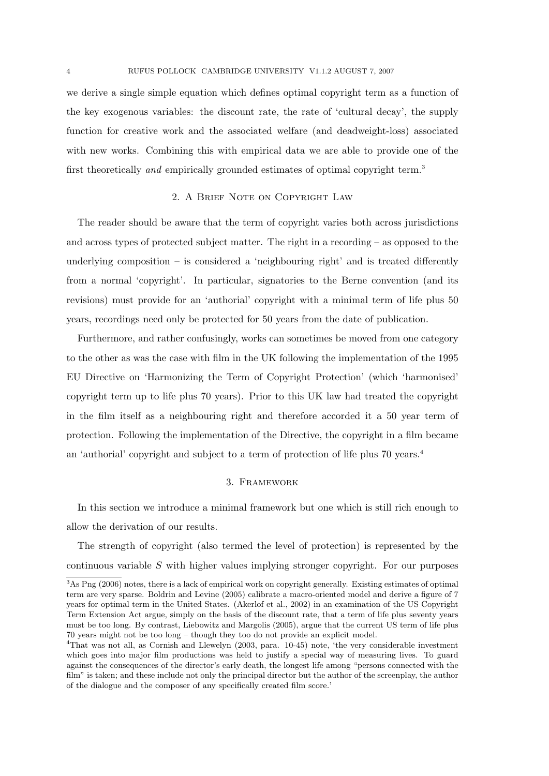we derive a single simple equation which defines optimal copyright term as a function of the key exogenous variables: the discount rate, the rate of 'cultural decay', the supply function for creative work and the associated welfare (and deadweight-loss) associated with new works. Combining this with empirical data we are able to provide one of the first theoretically and empirically grounded estimates of optimal copyright term.<sup>3</sup>

# 2. A Brief Note on Copyright Law

The reader should be aware that the term of copyright varies both across jurisdictions and across types of protected subject matter. The right in a recording – as opposed to the underlying composition  $-$  is considered a 'neighbouring right' and is treated differently from a normal 'copyright'. In particular, signatories to the Berne convention (and its revisions) must provide for an 'authorial' copyright with a minimal term of life plus 50 years, recordings need only be protected for 50 years from the date of publication.

Furthermore, and rather confusingly, works can sometimes be moved from one category to the other as was the case with film in the UK following the implementation of the 1995 EU Directive on 'Harmonizing the Term of Copyright Protection' (which 'harmonised' copyright term up to life plus 70 years). Prior to this UK law had treated the copyright in the film itself as a neighbouring right and therefore accorded it a 50 year term of protection. Following the implementation of the Directive, the copyright in a film became an 'authorial' copyright and subject to a term of protection of life plus 70 years.<sup>4</sup>

# 3. Framework

In this section we introduce a minimal framework but one which is still rich enough to allow the derivation of our results.

The strength of copyright (also termed the level of protection) is represented by the continuous variable S with higher values implying stronger copyright. For our purposes

<sup>3</sup>As Png (2006) notes, there is a lack of empirical work on copyright generally. Existing estimates of optimal term are very sparse. Boldrin and Levine (2005) calibrate a macro-oriented model and derive a figure of 7 years for optimal term in the United States. (Akerlof et al., 2002) in an examination of the US Copyright Term Extension Act argue, simply on the basis of the discount rate, that a term of life plus seventy years must be too long. By contrast, Liebowitz and Margolis (2005), argue that the current US term of life plus 70 years might not be too long – though they too do not provide an explicit model.

<sup>4</sup>That was not all, as Cornish and Llewelyn (2003, para. 10-45) note, 'the very considerable investment which goes into major film productions was held to justify a special way of measuring lives. To guard against the consequences of the director's early death, the longest life among "persons connected with the film" is taken; and these include not only the principal director but the author of the screenplay, the author of the dialogue and the composer of any specifically created film score.'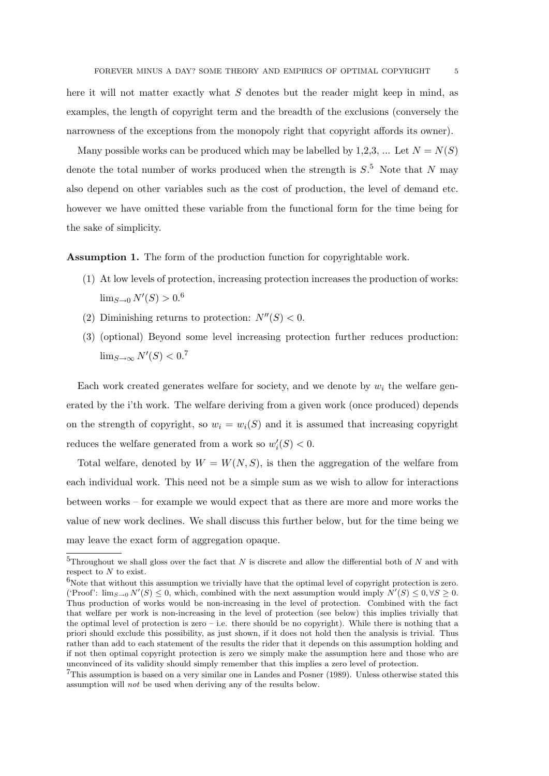here it will not matter exactly what  $S$  denotes but the reader might keep in mind, as examples, the length of copyright term and the breadth of the exclusions (conversely the narrowness of the exceptions from the monopoly right that copyright affords its owner).

Many possible works can be produced which may be labelled by 1,2,3, ... Let  $N = N(S)$ denote the total number of works produced when the strength is  $S<sup>5</sup>$ . Note that N may also depend on other variables such as the cost of production, the level of demand etc. however we have omitted these variable from the functional form for the time being for the sake of simplicity.

Assumption 1. The form of the production function for copyrightable work.

- (1) At low levels of protection, increasing protection increases the production of works:  $\lim_{S\to 0} N'(S) > 0.6$
- (2) Diminishing returns to protection:  $N''(S) < 0$ .
- (3) (optional) Beyond some level increasing protection further reduces production:  $\lim_{S\to\infty} N'(S) < 0.7$

Each work created generates welfare for society, and we denote by  $w_i$  the welfare generated by the i'th work. The welfare deriving from a given work (once produced) depends on the strength of copyright, so  $w_i = w_i(S)$  and it is assumed that increasing copyright reduces the welfare generated from a work so  $w_i'(S) < 0$ .

Total welfare, denoted by  $W = W(N, S)$ , is then the aggregation of the welfare from each individual work. This need not be a simple sum as we wish to allow for interactions between works – for example we would expect that as there are more and more works the value of new work declines. We shall discuss this further below, but for the time being we may leave the exact form of aggregation opaque.

<sup>&</sup>lt;sup>5</sup>Throughout we shall gloss over the fact that N is discrete and allow the differential both of N and with respect to N to exist.

 $6$ Note that without this assumption we trivially have that the optimal level of copyright protection is zero. ('Proof':  $\lim_{S\to 0} N'(S) \leq 0$ , which, combined with the next assumption would imply  $N'(S) \leq 0, \forall S \geq 0$ . Thus production of works would be non-increasing in the level of protection. Combined with the fact that welfare per work is non-increasing in the level of protection (see below) this implies trivially that the optimal level of protection is zero – i.e. there should be no copyright). While there is nothing that a priori should exclude this possibility, as just shown, if it does not hold then the analysis is trivial. Thus rather than add to each statement of the results the rider that it depends on this assumption holding and if not then optimal copyright protection is zero we simply make the assumption here and those who are unconvinced of its validity should simply remember that this implies a zero level of protection.

<sup>7</sup>This assumption is based on a very similar one in Landes and Posner (1989). Unless otherwise stated this assumption will not be used when deriving any of the results below.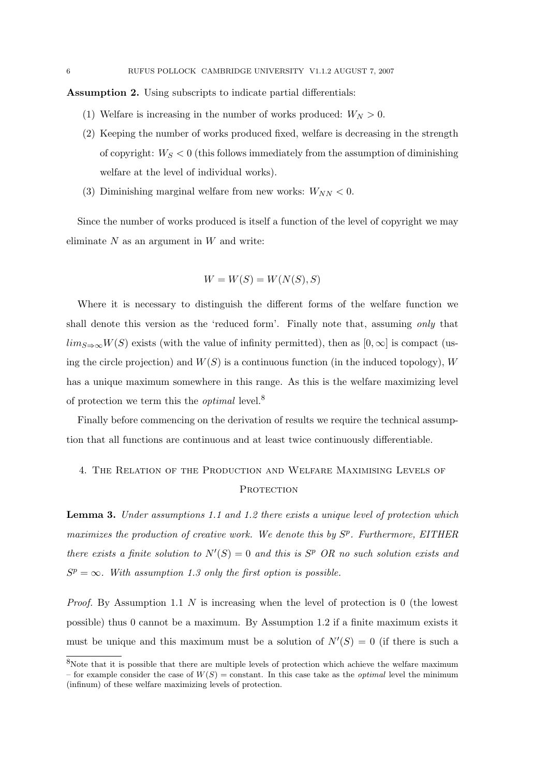Assumption 2. Using subscripts to indicate partial differentials:

- (1) Welfare is increasing in the number of works produced:  $W_N > 0$ .
- (2) Keeping the number of works produced fixed, welfare is decreasing in the strength of copyright:  $W_S < 0$  (this follows immediately from the assumption of diminishing welfare at the level of individual works).
- (3) Diminishing marginal welfare from new works:  $W_{NN} < 0$ .

Since the number of works produced is itself a function of the level of copyright we may eliminate  $N$  as an argument in  $W$  and write:

$$
W = W(S) = W(N(S), S)
$$

Where it is necessary to distinguish the different forms of the welfare function we shall denote this version as the 'reduced form'. Finally note that, assuming only that  $\lim_{S\to\infty}W(S)$  exists (with the value of infinity permitted), then as [0, ∞] is compact (using the circle projection) and  $W(S)$  is a continuous function (in the induced topology), W has a unique maximum somewhere in this range. As this is the welfare maximizing level of protection we term this the *optimal* level.<sup>8</sup>

Finally before commencing on the derivation of results we require the technical assumption that all functions are continuous and at least twice continuously differentiable.

# 4. The Relation of the Production and Welfare Maximising Levels of PROTECTION

**Lemma 3.** Under assumptions 1.1 and 1.2 there exists a unique level of protection which maximizes the production of creative work. We denote this by  $S<sup>p</sup>$ . Furthermore, EITHER there exists a finite solution to  $N'(S) = 0$  and this is  $S<sup>p</sup>$  OR no such solution exists and  $S<sup>p</sup> = \infty$ . With assumption 1.3 only the first option is possible.

*Proof.* By Assumption 1.1  $N$  is increasing when the level of protection is 0 (the lowest possible) thus 0 cannot be a maximum. By Assumption 1.2 if a finite maximum exists it must be unique and this maximum must be a solution of  $N'(S) = 0$  (if there is such a

<sup>8</sup>Note that it is possible that there are multiple levels of protection which achieve the welfare maximum – for example consider the case of  $W(S)$  = constant. In this case take as the *optimal* level the minimum (infinum) of these welfare maximizing levels of protection.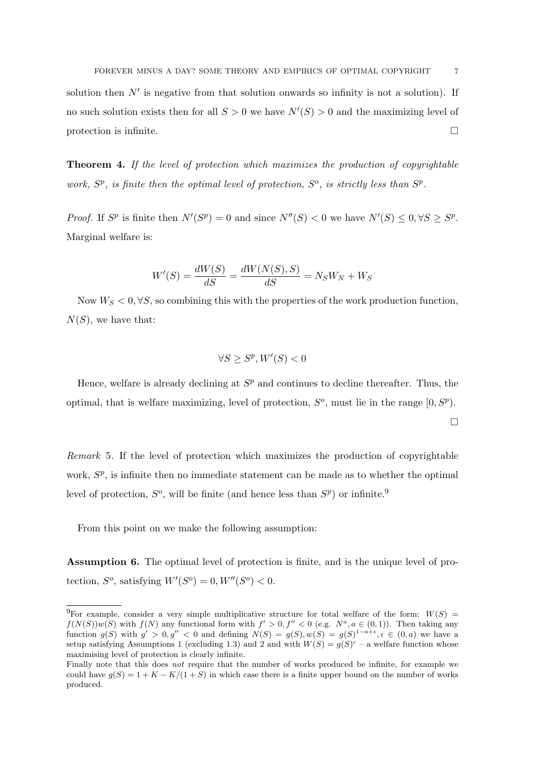solution then  $N'$  is negative from that solution onwards so infinity is not a solution). If no such solution exists then for all  $S > 0$  we have  $N'(S) > 0$  and the maximizing level of protection is infinite.  $\Box$ 

Theorem 4. If the level of protection which maximizes the production of copyrightable work,  $S^p$ , is finite then the optimal level of protection,  $S^o$ , is strictly less than  $S^p$ .

*Proof.* If  $S^p$  is finite then  $N'(S^p) = 0$  and since  $N''(S) < 0$  we have  $N'(S) \leq 0, \forall S \geq S^p$ . Marginal welfare is:

$$
W'(S) = \frac{dW(S)}{dS} = \frac{dW(N(S), S)}{dS} = N_S W_N + W_S
$$

Now  $W_S < 0$ ,  $\forall S$ , so combining this with the properties of the work production function,  $N(S)$ , we have that:

$$
\forall S \ge S^p, W'(S) < 0
$$

Hence, welfare is already declining at  $S<sup>p</sup>$  and continues to decline thereafter. Thus, the optimal, that is welfare maximizing, level of protection,  $S^o$ , must lie in the range  $[0, S^p)$ .  $\Box$ 

Remark 5. If the level of protection which maximizes the production of copyrightable work,  $S_p$ , is infinite then no immediate statement can be made as to whether the optimal level of protection,  $S^o$ , will be finite (and hence less than  $S^p$ ) or infinite.<sup>9</sup>

From this point on we make the following assumption:

Assumption 6. The optimal level of protection is finite, and is the unique level of protection,  $S^o$ , satisfying  $W'(S^o) = 0, W''(S^o) < 0.$ 

<sup>&</sup>lt;sup>9</sup>For example, consider a very simple multiplicative structure for total welfare of the form:  $W(S)$  =  $f(N(S))w(S)$  with  $f(N)$  any functional form with  $f' > 0$ ,  $f'' < 0$  (e.g.  $N^a$ ,  $a \in (0,1)$ ). Then taking any function  $g(S)$  with  $g' > 0, g'' < 0$  and defining  $N(S) = g(S), w(S) = g(S)^{1-a+\epsilon}, \epsilon \in (0, a)$  we have a setup satisfying Assumptions 1 (excluding 1.3) and 2 and with  $W(S) = g(S)^{\epsilon}$  – a welfare function whose maximising level of protection is clearly infinite.

Finally note that this does *not* require that the number of works produced be infinite, for example we could have  $q(S) = 1 + K - K/(1 + S)$  in which case there is a finite upper bound on the number of works produced.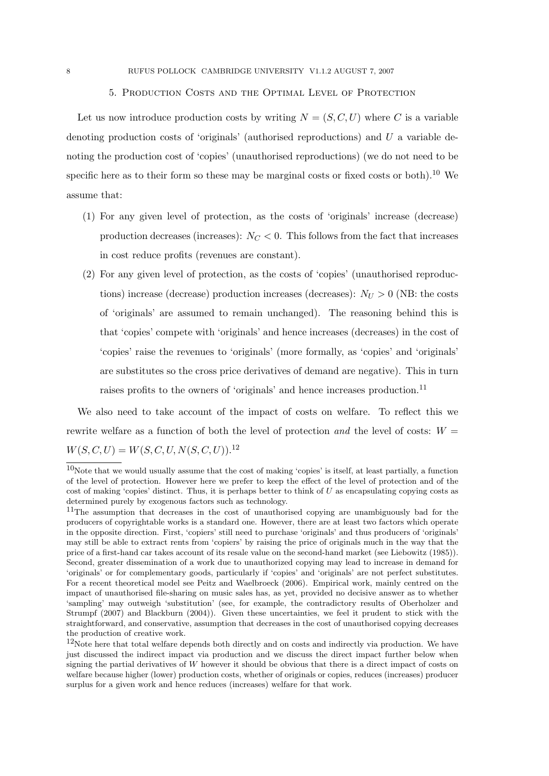### 5. Production Costs and the Optimal Level of Protection

Let us now introduce production costs by writing  $N = (S, C, U)$  where C is a variable denoting production costs of 'originals' (authorised reproductions) and U a variable denoting the production cost of 'copies' (unauthorised reproductions) (we do not need to be specific here as to their form so these may be marginal costs or fixed costs or both).<sup>10</sup> We assume that:

- (1) For any given level of protection, as the costs of 'originals' increase (decrease) production decreases (increases):  $N_C < 0$ . This follows from the fact that increases in cost reduce profits (revenues are constant).
- (2) For any given level of protection, as the costs of 'copies' (unauthorised reproductions) increase (decrease) production increases (decreases):  $N_U > 0$  (NB: the costs of 'originals' are assumed to remain unchanged). The reasoning behind this is that 'copies' compete with 'originals' and hence increases (decreases) in the cost of 'copies' raise the revenues to 'originals' (more formally, as 'copies' and 'originals' are substitutes so the cross price derivatives of demand are negative). This in turn raises profits to the owners of 'originals' and hence increases production.<sup>11</sup>

We also need to take account of the impact of costs on welfare. To reflect this we rewrite welfare as a function of both the level of protection and the level of costs:  $W =$  $W(S, C, U) = W(S, C, U, N(S, C, U)).$ <sup>12</sup>

 $10$ Note that we would usually assume that the cost of making 'copies' is itself, at least partially, a function of the level of protection. However here we prefer to keep the effect of the level of protection and of the cost of making 'copies' distinct. Thus, it is perhaps better to think of  $U$  as encapsulating copying costs as determined purely by exogenous factors such as technology.

<sup>&</sup>lt;sup>11</sup>The assumption that decreases in the cost of unauthorised copying are unambiguously bad for the producers of copyrightable works is a standard one. However, there are at least two factors which operate in the opposite direction. First, 'copiers' still need to purchase 'originals' and thus producers of 'originals' may still be able to extract rents from 'copiers' by raising the price of originals much in the way that the price of a first-hand car takes account of its resale value on the second-hand market (see Liebowitz (1985)). Second, greater dissemination of a work due to unauthorized copying may lead to increase in demand for 'originals' or for complementary goods, particularly if 'copies' and 'originals' are not perfect substitutes. For a recent theoretical model see Peitz and Waelbroeck (2006). Empirical work, mainly centred on the impact of unauthorised file-sharing on music sales has, as yet, provided no decisive answer as to whether 'sampling' may outweigh 'substitution' (see, for example, the contradictory results of Oberholzer and Strumpf (2007) and Blackburn (2004)). Given these uncertainties, we feel it prudent to stick with the straightforward, and conservative, assumption that decreases in the cost of unauthorised copying decreases the production of creative work.

<sup>&</sup>lt;sup>12</sup>Note here that total welfare depends both directly and on costs and indirectly via production. We have just discussed the indirect impact via production and we discuss the direct impact further below when signing the partial derivatives of W however it should be obvious that there is a direct impact of costs on welfare because higher (lower) production costs, whether of originals or copies, reduces (increases) producer surplus for a given work and hence reduces (increases) welfare for that work.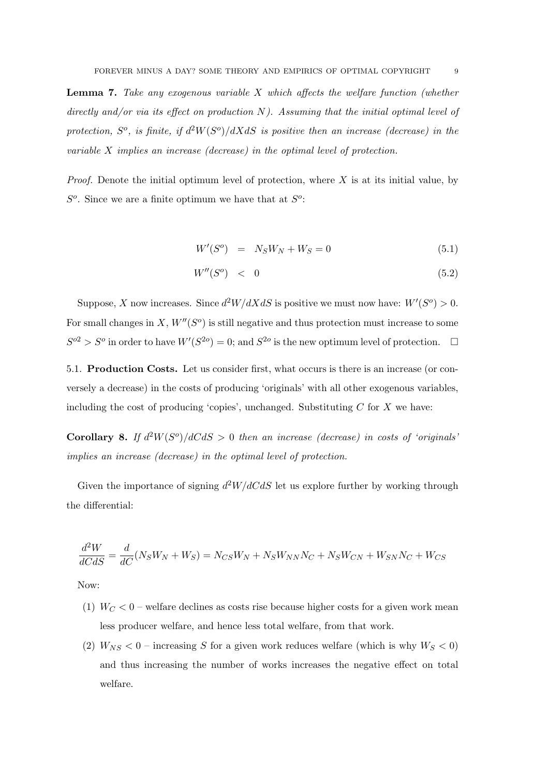Lemma 7. Take any exogenous variable X which affects the welfare function (whether directly and/or via its effect on production  $N$ ). Assuming that the initial optimal level of protection,  $S^o$ , is finite, if  $d^2W(S^o)/dXdS$  is positive then an increase (decrease) in the variable X implies an increase (decrease) in the optimal level of protection.

*Proof.* Denote the initial optimum level of protection, where  $X$  is at its initial value, by  $S<sup>o</sup>$ . Since we are a finite optimum we have that at  $S<sup>o</sup>$ :

$$
W'(S^o) = N_S W_N + W_S = 0 \tag{5.1}
$$

$$
W''(S^o) \quad < \quad 0 \tag{5.2}
$$

Suppose, X now increases. Since  $d^2W/dXdS$  is positive we must now have:  $W'(S^o) > 0$ . For small changes in X,  $W''(S<sup>o</sup>)$  is still negative and thus protection must increase to some  $S^{o2} > S^o$  in order to have  $W'(S^{2o}) = 0$ ; and  $S^{2o}$  is the new optimum level of protection.  $\square$ 

5.1. Production Costs. Let us consider first, what occurs is there is an increase (or conversely a decrease) in the costs of producing 'originals' with all other exogenous variables, including the cost of producing 'copies', unchanged. Substituting  $C$  for  $X$  we have:

Corollary 8. If  $d^2W(S^o)/dC dS > 0$  then an increase (decrease) in costs of 'originals' implies an increase (decrease) in the optimal level of protection.

Given the importance of signing  $d^2W/dC dS$  let us explore further by working through the differential:

$$
\frac{d^2W}{dCdS} = \frac{d}{dC}(N_S W_N + W_S) = N_{CS}W_N + N_S W_{NN}N_C + N_S W_{CN} + W_{SN}N_C + W_{CS}
$$

Now:

- (1)  $W_C < 0$  welfare declines as costs rise because higher costs for a given work mean less producer welfare, and hence less total welfare, from that work.
- (2)  $W_{NS} < 0$  increasing S for a given work reduces welfare (which is why  $W_S < 0$ ) and thus increasing the number of works increases the negative effect on total welfare.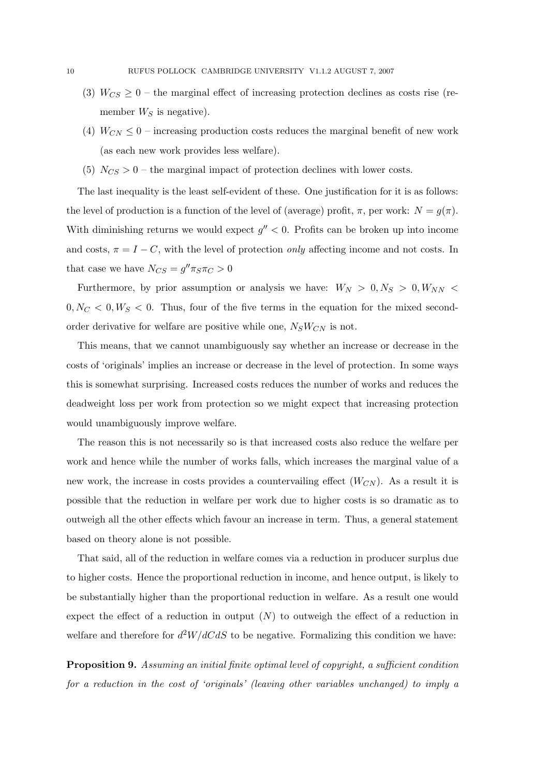- (3)  $W_{CS} \geq 0$  the marginal effect of increasing protection declines as costs rise (remember  $W_S$  is negative).
- (4)  $W_{CN} \leq 0$  increasing production costs reduces the marginal benefit of new work (as each new work provides less welfare).
- (5)  $N_{CS} > 0$  the marginal impact of protection declines with lower costs.

The last inequality is the least self-evident of these. One justification for it is as follows: the level of production is a function of the level of (average) profit,  $\pi$ , per work:  $N = g(\pi)$ . With diminishing returns we would expect  $g'' < 0$ . Profits can be broken up into income and costs,  $\pi = I - C$ , with the level of protection *only* affecting income and not costs. In that case we have  $N_{CS} = g'' \pi_S \pi_C > 0$ 

Furthermore, by prior assumption or analysis we have:  $W_N > 0, N_S > 0, W_{NN} <$  $0, N_C < 0, W_S < 0$ . Thus, four of the five terms in the equation for the mixed secondorder derivative for welfare are positive while one,  $N_S W_{CN}$  is not.

This means, that we cannot unambiguously say whether an increase or decrease in the costs of 'originals' implies an increase or decrease in the level of protection. In some ways this is somewhat surprising. Increased costs reduces the number of works and reduces the deadweight loss per work from protection so we might expect that increasing protection would unambiguously improve welfare.

The reason this is not necessarily so is that increased costs also reduce the welfare per work and hence while the number of works falls, which increases the marginal value of a new work, the increase in costs provides a countervailing effect  $(W_{CN})$ . As a result it is possible that the reduction in welfare per work due to higher costs is so dramatic as to outweigh all the other effects which favour an increase in term. Thus, a general statement based on theory alone is not possible.

That said, all of the reduction in welfare comes via a reduction in producer surplus due to higher costs. Hence the proportional reduction in income, and hence output, is likely to be substantially higher than the proportional reduction in welfare. As a result one would expect the effect of a reduction in output  $(N)$  to outweigh the effect of a reduction in welfare and therefore for  $d^2W/dC dS$  to be negative. Formalizing this condition we have:

Proposition 9. Assuming an initial finite optimal level of copyright, a sufficient condition for a reduction in the cost of 'originals' (leaving other variables unchanged) to imply a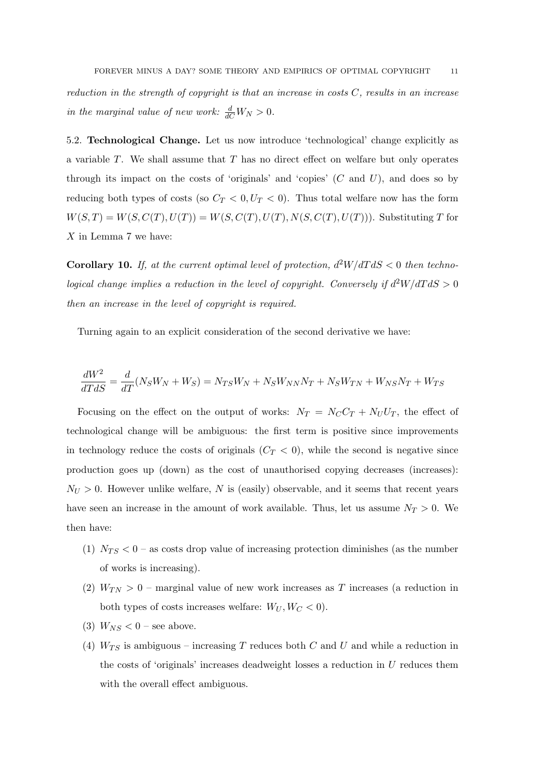reduction in the strength of copyright is that an increase in costs  $C$ , results in an increase in the marginal value of new work:  $\frac{d}{dC}W_N > 0$ .

5.2. Technological Change. Let us now introduce 'technological' change explicitly as a variable T. We shall assume that T has no direct effect on welfare but only operates through its impact on the costs of 'originals' and 'copies'  $(C \text{ and } U)$ , and does so by reducing both types of costs (so  $C_T < 0, U_T < 0$ ). Thus total welfare now has the form  $W(S,T) = W(S, C(T), U(T)) = W(S, C(T), U(T), N(S, C(T), U(T)))$ . Substituting T for X in Lemma 7 we have:

**Corollary 10.** If, at the current optimal level of protection,  $d^2W/dTdS < 0$  then technological change implies a reduction in the level of copyright. Conversely if  $d^2W/dTdS > 0$ then an increase in the level of copyright is required.

Turning again to an explicit consideration of the second derivative we have:

$$
\frac{dW^2}{dT dS} = \frac{d}{dT}(N_S W_N + W_S) = N_{TS}W_N + N_S W_{NN}N_T + N_S W_{TN} + W_{NS}N_T + W_{TS}
$$

Focusing on the effect on the output of works:  $N_T = N_C C_T + N_U U_T$ , the effect of technological change will be ambiguous: the first term is positive since improvements in technology reduce the costs of originals  $(C_T < 0)$ , while the second is negative since production goes up (down) as the cost of unauthorised copying decreases (increases):  $N_U > 0$ . However unlike welfare, N is (easily) observable, and it seems that recent years have seen an increase in the amount of work available. Thus, let us assume  $N_T > 0$ . We then have:

- (1)  $N_{TS} < 0$  as costs drop value of increasing protection diminishes (as the number of works is increasing).
- (2)  $W_{TN} > 0$  marginal value of new work increases as T increases (a reduction in both types of costs increases welfare:  $W_U, W_C < 0$ .
- (3)  $W_{NS}$  < 0 see above.
- (4)  $W_{TS}$  is ambiguous increasing T reduces both C and U and while a reduction in the costs of 'originals' increases deadweight losses a reduction in  $U$  reduces them with the overall effect ambiguous.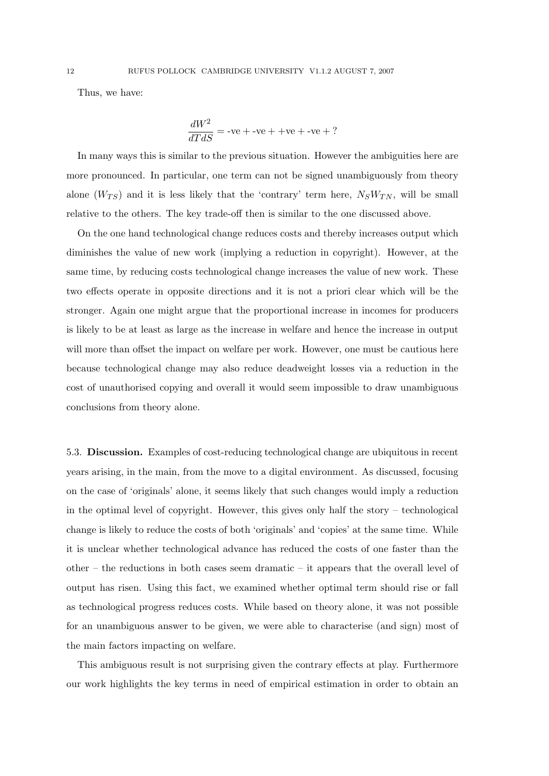Thus, we have:

$$
\frac{dW^2}{dT dS} = -ve + -ve + +ve + -ve + ?
$$

In many ways this is similar to the previous situation. However the ambiguities here are more pronounced. In particular, one term can not be signed unambiguously from theory alone  $(W_{TS})$  and it is less likely that the 'contrary' term here,  $N_S W_{TN}$ , will be small relative to the others. The key trade-off then is similar to the one discussed above.

On the one hand technological change reduces costs and thereby increases output which diminishes the value of new work (implying a reduction in copyright). However, at the same time, by reducing costs technological change increases the value of new work. These two effects operate in opposite directions and it is not a priori clear which will be the stronger. Again one might argue that the proportional increase in incomes for producers is likely to be at least as large as the increase in welfare and hence the increase in output will more than offset the impact on welfare per work. However, one must be cautious here because technological change may also reduce deadweight losses via a reduction in the cost of unauthorised copying and overall it would seem impossible to draw unambiguous conclusions from theory alone.

5.3. Discussion. Examples of cost-reducing technological change are ubiquitous in recent years arising, in the main, from the move to a digital environment. As discussed, focusing on the case of 'originals' alone, it seems likely that such changes would imply a reduction in the optimal level of copyright. However, this gives only half the story – technological change is likely to reduce the costs of both 'originals' and 'copies' at the same time. While it is unclear whether technological advance has reduced the costs of one faster than the other – the reductions in both cases seem dramatic – it appears that the overall level of output has risen. Using this fact, we examined whether optimal term should rise or fall as technological progress reduces costs. While based on theory alone, it was not possible for an unambiguous answer to be given, we were able to characterise (and sign) most of the main factors impacting on welfare.

This ambiguous result is not surprising given the contrary effects at play. Furthermore our work highlights the key terms in need of empirical estimation in order to obtain an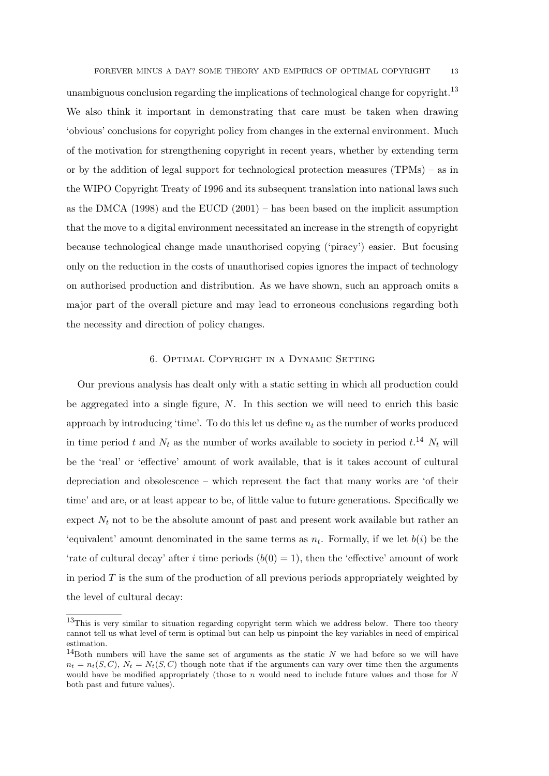FOREVER MINUS A DAY? SOME THEORY AND EMPIRICS OF OPTIMAL COPYRIGHT 13

unambiguous conclusion regarding the implications of technological change for copyright.<sup>13</sup> We also think it important in demonstrating that care must be taken when drawing 'obvious' conclusions for copyright policy from changes in the external environment. Much of the motivation for strengthening copyright in recent years, whether by extending term or by the addition of legal support for technological protection measures  $(TPMs) - as$  in the WIPO Copyright Treaty of 1996 and its subsequent translation into national laws such as the DMCA  $(1998)$  and the EUCD  $(2001)$  – has been based on the implicit assumption that the move to a digital environment necessitated an increase in the strength of copyright because technological change made unauthorised copying ('piracy') easier. But focusing only on the reduction in the costs of unauthorised copies ignores the impact of technology on authorised production and distribution. As we have shown, such an approach omits a major part of the overall picture and may lead to erroneous conclusions regarding both the necessity and direction of policy changes.

## 6. Optimal Copyright in a Dynamic Setting

Our previous analysis has dealt only with a static setting in which all production could be aggregated into a single figure, N. In this section we will need to enrich this basic approach by introducing 'time'. To do this let us define  $n_t$  as the number of works produced in time period t and  $N_t$  as the number of works available to society in period  $t.^{14}$   $N_t$  will be the 'real' or 'effective' amount of work available, that is it takes account of cultural depreciation and obsolescence – which represent the fact that many works are 'of their time' and are, or at least appear to be, of little value to future generations. Specifically we expect  $N_t$  not to be the absolute amount of past and present work available but rather an 'equivalent' amount denominated in the same terms as  $n_t$ . Formally, if we let  $b(i)$  be the 'rate of cultural decay' after i time periods  $(b(0) = 1)$ , then the 'effective' amount of work in period  $T$  is the sum of the production of all previous periods appropriately weighted by the level of cultural decay:

<sup>&</sup>lt;sup>13</sup>This is very similar to situation regarding copyright term which we address below. There too theory cannot tell us what level of term is optimal but can help us pinpoint the key variables in need of empirical estimation.

<sup>&</sup>lt;sup>14</sup>Both numbers will have the same set of arguments as the static  $N$  we had before so we will have  $n_t = n_t(S, C), N_t = N_t(S, C)$  though note that if the arguments can vary over time then the arguments would have be modified appropriately (those to n would need to include future values and those for  $N$ both past and future values).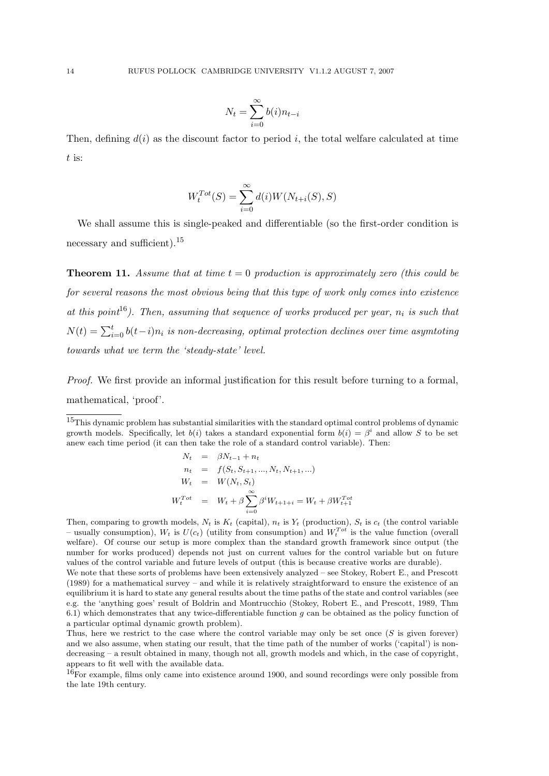$$
N_t = \sum_{i=0}^{\infty} b(i) n_{t-i}
$$

Then, defining  $d(i)$  as the discount factor to period i, the total welfare calculated at time t is:

$$
W_t^{Tot}(S) = \sum_{i=0}^{\infty} d(i)W(N_{t+i}(S), S)
$$

We shall assume this is single-peaked and differentiable (so the first-order condition is necessary and sufficient).<sup>15</sup>

**Theorem 11.** Assume that at time  $t = 0$  production is approximately zero (this could be for several reasons the most obvious being that this type of work only comes into existence at this point<sup>16</sup>). Then, assuming that sequence of works produced per year,  $n_i$  is such that  $N(t) = \sum_{i=0}^{t} b(t-i)n_i$  is non-decreasing, optimal protection declines over time asymtoting towards what we term the 'steady-state' level.

Proof. We first provide an informal justification for this result before turning to a formal. mathematical, 'proof'.

<sup>15</sup>This dynamic problem has substantial similarities with the standard optimal control problems of dynamic growth models. Specifically, let  $b(i)$  takes a standard exponential form  $b(i) = \beta^i$  and allow S to be set anew each time period (it can then take the role of a standard control variable). Then:

$$
N_t = \beta N_{t-1} + n_t
$$
  
\n
$$
n_t = f(S_t, S_{t+1}, ..., N_t, N_{t+1}, ...)
$$
  
\n
$$
W_t = W(N_t, S_t)
$$
  
\n
$$
W_t^{Tot} = W_t + \beta \sum_{i=0}^{\infty} \beta^i W_{t+1+i} = W_t + \beta W_{t+1}^{Tot}
$$

Then, comparing to growth models,  $N_t$  is  $K_t$  (capital),  $n_t$  is  $Y_t$  (production),  $S_t$  is  $c_t$  (the control variable – usually consumption),  $W_t$  is  $U(c_t)$  (utility from consumption) and  $W_t^{Tot}$  is the value function (overall welfare). Of course our setup is more complex than the standard growth framework since output (the number for works produced) depends not just on current values for the control variable but on future values of the control variable and future levels of output (this is because creative works are durable).

We note that these sorts of problems have been extensively analyzed – see Stokey, Robert E., and Prescott (1989) for a mathematical survey – and while it is relatively straightforward to ensure the existence of an equilibrium it is hard to state any general results about the time paths of the state and control variables (see e.g. the 'anything goes' result of Boldrin and Montrucchio (Stokey, Robert E., and Prescott, 1989, Thm 6.1) which demonstrates that any twice-differentiable function  $q$  can be obtained as the policy function of a particular optimal dynamic growth problem).

Thus, here we restrict to the case where the control variable may only be set once  $(S$  is given forever) and we also assume, when stating our result, that the time path of the number of works ('capital') is nondecreasing – a result obtained in many, though not all, growth models and which, in the case of copyright, appears to fit well with the available data.

<sup>16</sup>For example, films only came into existence around 1900, and sound recordings were only possible from the late 19th century.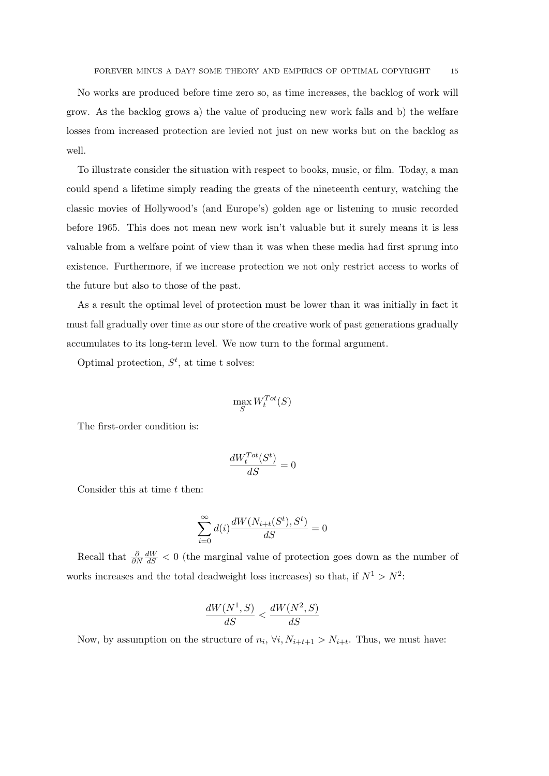No works are produced before time zero so, as time increases, the backlog of work will grow. As the backlog grows a) the value of producing new work falls and b) the welfare losses from increased protection are levied not just on new works but on the backlog as well.

To illustrate consider the situation with respect to books, music, or film. Today, a man could spend a lifetime simply reading the greats of the nineteenth century, watching the classic movies of Hollywood's (and Europe's) golden age or listening to music recorded before 1965. This does not mean new work isn't valuable but it surely means it is less valuable from a welfare point of view than it was when these media had first sprung into existence. Furthermore, if we increase protection we not only restrict access to works of the future but also to those of the past.

As a result the optimal level of protection must be lower than it was initially in fact it must fall gradually over time as our store of the creative work of past generations gradually accumulates to its long-term level. We now turn to the formal argument.

Optimal protection,  $S^t$ , at time t solves:

$$
\max_{S} W^{Tot}_{t}(S)
$$

The first-order condition is:

$$
\frac{dW_t^{Tot}(S^t)}{dS}=0
$$

Consider this at time  $t$  then:

$$
\sum_{i=0}^{\infty} d(i) \frac{dW(N_{i+t}(S^t), S^t)}{dS} = 0
$$

Recall that  $\frac{\partial}{\partial N}$  $\frac{dW}{dS}$  < 0 (the marginal value of protection goes down as the number of works increases and the total deadweight loss increases) so that, if  $N^1 > N^2$ :

$$
\frac{dW(N^1, S)}{dS} < \frac{dW(N^2, S)}{dS}
$$

Now, by assumption on the structure of  $n_i$ ,  $\forall i, N_{i+t+1} > N_{i+t}$ . Thus, we must have: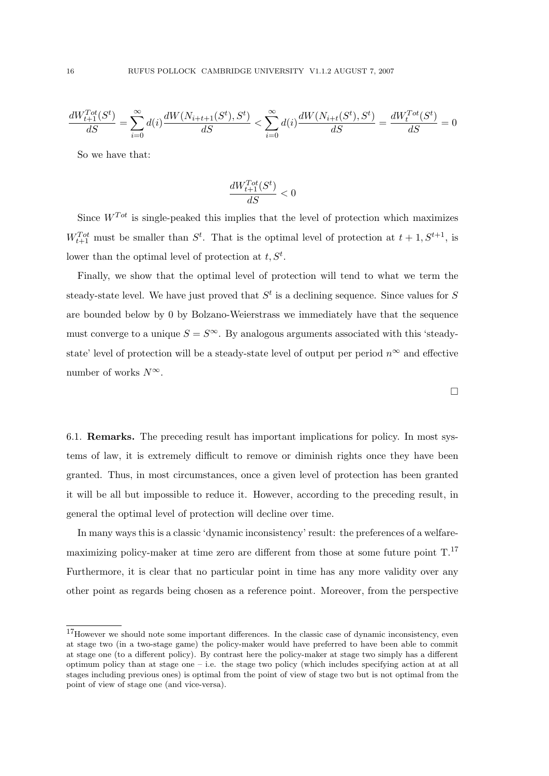$$
\frac{dW_{t+1}^{Tot}(S^t)}{dS} = \sum_{i=0}^{\infty} d(i) \frac{dW(N_{i+t+1}(S^t), S^t)}{dS} < \sum_{i=0}^{\infty} d(i) \frac{dW(N_{i+t}(S^t), S^t)}{dS} = \frac{dW_t^{Tot}(S^t)}{dS} = 0
$$

So we have that:

$$
\frac{d W^{Tot}_{t+1}(S^t)}{dS} < 0
$$

Since  $W^{Tot}$  is single-peaked this implies that the level of protection which maximizes  $W_{t+1}^{Tot}$  must be smaller than  $S^t$ . That is the optimal level of protection at  $t+1, S^{t+1}$ , is lower than the optimal level of protection at  $t, S^t$ .

Finally, we show that the optimal level of protection will tend to what we term the steady-state level. We have just proved that  $S<sup>t</sup>$  is a declining sequence. Since values for S are bounded below by 0 by Bolzano-Weierstrass we immediately have that the sequence must converge to a unique  $S = S^{\infty}$ . By analogous arguments associated with this 'steadystate' level of protection will be a steady-state level of output per period  $n^{\infty}$  and effective number of works  $N^{\infty}$ .

6.1. Remarks. The preceding result has important implications for policy. In most systems of law, it is extremely difficult to remove or diminish rights once they have been granted. Thus, in most circumstances, once a given level of protection has been granted it will be all but impossible to reduce it. However, according to the preceding result, in general the optimal level of protection will decline over time.

In many ways this is a classic 'dynamic inconsistency' result: the preferences of a welfaremaximizing policy-maker at time zero are different from those at some future point T.<sup>17</sup> Furthermore, it is clear that no particular point in time has any more validity over any other point as regards being chosen as a reference point. Moreover, from the perspective

 $\Box$ 

<sup>17</sup>However we should note some important differences. In the classic case of dynamic inconsistency, even at stage two (in a two-stage game) the policy-maker would have preferred to have been able to commit at stage one (to a different policy). By contrast here the policy-maker at stage two simply has a different optimum policy than at stage one – i.e. the stage two policy (which includes specifying action at at all stages including previous ones) is optimal from the point of view of stage two but is not optimal from the point of view of stage one (and vice-versa).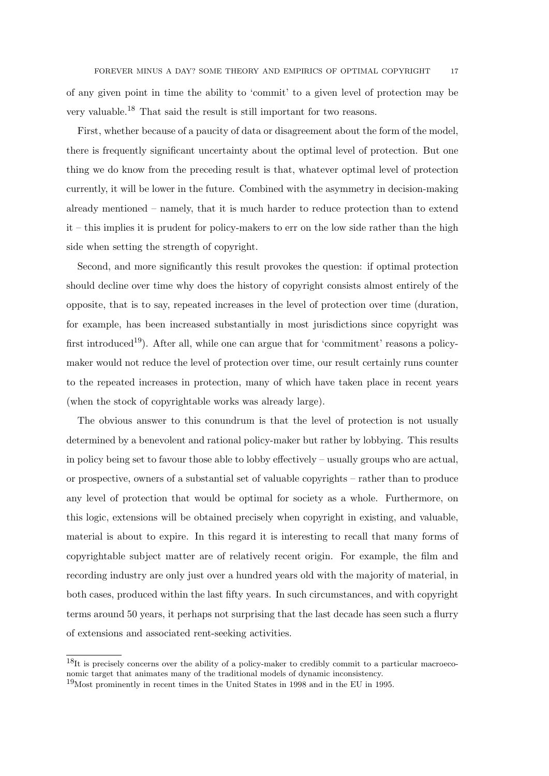of any given point in time the ability to 'commit' to a given level of protection may be very valuable.<sup>18</sup> That said the result is still important for two reasons.

First, whether because of a paucity of data or disagreement about the form of the model, there is frequently significant uncertainty about the optimal level of protection. But one thing we do know from the preceding result is that, whatever optimal level of protection currently, it will be lower in the future. Combined with the asymmetry in decision-making already mentioned – namely, that it is much harder to reduce protection than to extend it – this implies it is prudent for policy-makers to err on the low side rather than the high side when setting the strength of copyright.

Second, and more significantly this result provokes the question: if optimal protection should decline over time why does the history of copyright consists almost entirely of the opposite, that is to say, repeated increases in the level of protection over time (duration, for example, has been increased substantially in most jurisdictions since copyright was first introduced<sup>19</sup>). After all, while one can argue that for 'commitment' reasons a policymaker would not reduce the level of protection over time, our result certainly runs counter to the repeated increases in protection, many of which have taken place in recent years (when the stock of copyrightable works was already large).

The obvious answer to this conundrum is that the level of protection is not usually determined by a benevolent and rational policy-maker but rather by lobbying. This results in policy being set to favour those able to lobby effectively – usually groups who are actual, or prospective, owners of a substantial set of valuable copyrights – rather than to produce any level of protection that would be optimal for society as a whole. Furthermore, on this logic, extensions will be obtained precisely when copyright in existing, and valuable, material is about to expire. In this regard it is interesting to recall that many forms of copyrightable subject matter are of relatively recent origin. For example, the film and recording industry are only just over a hundred years old with the majority of material, in both cases, produced within the last fifty years. In such circumstances, and with copyright terms around 50 years, it perhaps not surprising that the last decade has seen such a flurry of extensions and associated rent-seeking activities.

 $18$ It is precisely concerns over the ability of a policy-maker to credibly commit to a particular macroeconomic target that animates many of the traditional models of dynamic inconsistency.

<sup>19</sup>Most prominently in recent times in the United States in 1998 and in the EU in 1995.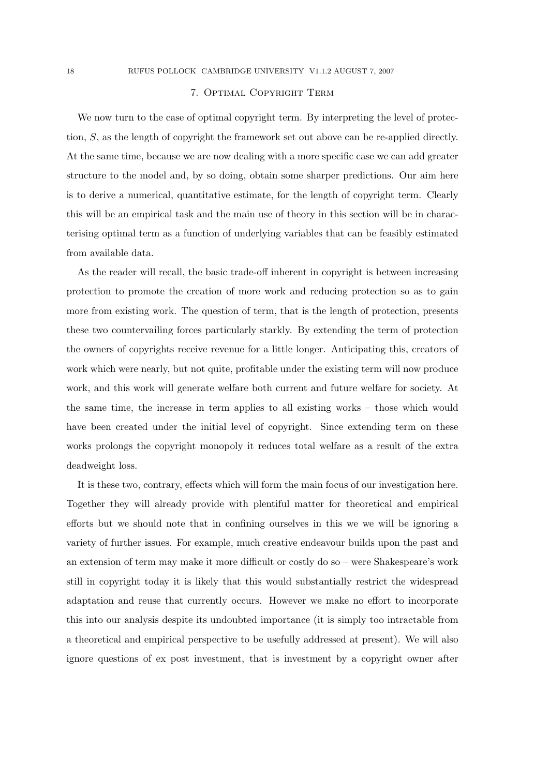### 7. Optimal Copyright Term

We now turn to the case of optimal copyright term. By interpreting the level of protection, S, as the length of copyright the framework set out above can be re-applied directly. At the same time, because we are now dealing with a more specific case we can add greater structure to the model and, by so doing, obtain some sharper predictions. Our aim here is to derive a numerical, quantitative estimate, for the length of copyright term. Clearly this will be an empirical task and the main use of theory in this section will be in characterising optimal term as a function of underlying variables that can be feasibly estimated from available data.

As the reader will recall, the basic trade-off inherent in copyright is between increasing protection to promote the creation of more work and reducing protection so as to gain more from existing work. The question of term, that is the length of protection, presents these two countervailing forces particularly starkly. By extending the term of protection the owners of copyrights receive revenue for a little longer. Anticipating this, creators of work which were nearly, but not quite, profitable under the existing term will now produce work, and this work will generate welfare both current and future welfare for society. At the same time, the increase in term applies to all existing works – those which would have been created under the initial level of copyright. Since extending term on these works prolongs the copyright monopoly it reduces total welfare as a result of the extra deadweight loss.

It is these two, contrary, effects which will form the main focus of our investigation here. Together they will already provide with plentiful matter for theoretical and empirical efforts but we should note that in confining ourselves in this we we will be ignoring a variety of further issues. For example, much creative endeavour builds upon the past and an extension of term may make it more difficult or costly do so – were Shakespeare's work still in copyright today it is likely that this would substantially restrict the widespread adaptation and reuse that currently occurs. However we make no effort to incorporate this into our analysis despite its undoubted importance (it is simply too intractable from a theoretical and empirical perspective to be usefully addressed at present). We will also ignore questions of ex post investment, that is investment by a copyright owner after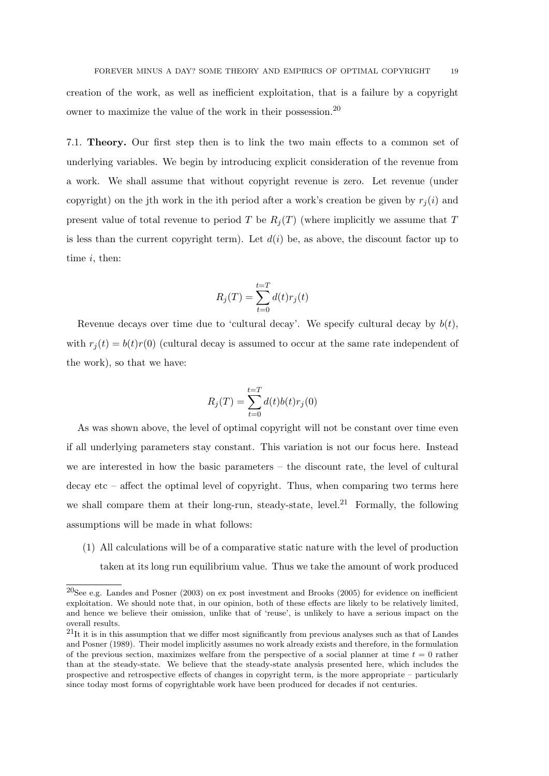creation of the work, as well as inefficient exploitation, that is a failure by a copyright owner to maximize the value of the work in their possession.<sup>20</sup>

7.1. Theory. Our first step then is to link the two main effects to a common set of underlying variables. We begin by introducing explicit consideration of the revenue from a work. We shall assume that without copyright revenue is zero. Let revenue (under copyright) on the jth work in the ith period after a work's creation be given by  $r_i(i)$  and present value of total revenue to period T be  $R_j(T)$  (where implicitly we assume that T is less than the current copyright term). Let  $d(i)$  be, as above, the discount factor up to time *i*, then:

$$
R_j(T) = \sum_{t=0}^{t=T} d(t)r_j(t)
$$

Revenue decays over time due to 'cultural decay'. We specify cultural decay by  $b(t)$ , with  $r_i(t) = b(t)r(0)$  (cultural decay is assumed to occur at the same rate independent of the work), so that we have:

$$
R_j(T) = \sum_{t=0}^{t=T} d(t)b(t)r_j(0)
$$

As was shown above, the level of optimal copyright will not be constant over time even if all underlying parameters stay constant. This variation is not our focus here. Instead we are interested in how the basic parameters – the discount rate, the level of cultural decay etc – affect the optimal level of copyright. Thus, when comparing two terms here we shall compare them at their long-run, steady-state, level.<sup>21</sup> Formally, the following assumptions will be made in what follows:

(1) All calculations will be of a comparative static nature with the level of production taken at its long run equilibrium value. Thus we take the amount of work produced

<sup>20</sup>See e.g. Landes and Posner (2003) on ex post investment and Brooks (2005) for evidence on inefficient exploitation. We should note that, in our opinion, both of these effects are likely to be relatively limited, and hence we believe their omission, unlike that of 'reuse', is unlikely to have a serious impact on the overall results.

 $^{21}$ It it is in this assumption that we differ most significantly from previous analyses such as that of Landes and Posner (1989). Their model implicitly assumes no work already exists and therefore, in the formulation of the previous section, maximizes welfare from the perspective of a social planner at time  $t = 0$  rather than at the steady-state. We believe that the steady-state analysis presented here, which includes the prospective and retrospective effects of changes in copyright term, is the more appropriate – particularly since today most forms of copyrightable work have been produced for decades if not centuries.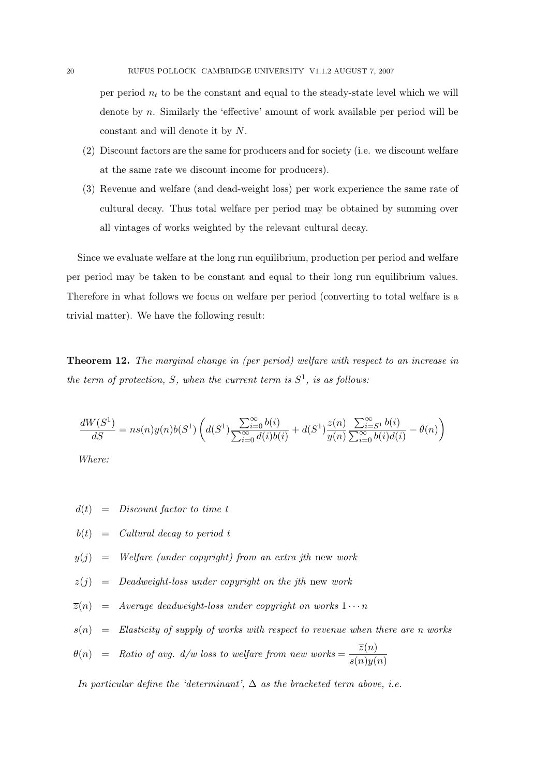per period  $n_t$  to be the constant and equal to the steady-state level which we will denote by n. Similarly the 'effective' amount of work available per period will be constant and will denote it by N.

- (2) Discount factors are the same for producers and for society (i.e. we discount welfare at the same rate we discount income for producers).
- (3) Revenue and welfare (and dead-weight loss) per work experience the same rate of cultural decay. Thus total welfare per period may be obtained by summing over all vintages of works weighted by the relevant cultural decay.

Since we evaluate welfare at the long run equilibrium, production per period and welfare per period may be taken to be constant and equal to their long run equilibrium values. Therefore in what follows we focus on welfare per period (converting to total welfare is a trivial matter). We have the following result:

Theorem 12. The marginal change in (per period) welfare with respect to an increase in the term of protection, S, when the current term is  $S^1$ , is as follows:

$$
\frac{dW(S^1)}{dS} = ns(n)y(n)b(S^1)\left(d(S^1)\frac{\sum_{i=0}^{\infty}b(i)}{\sum_{i=0}^{\infty}d(i)b(i)} + d(S^1)\frac{z(n)}{y(n)}\frac{\sum_{i=S^1}^{\infty}b(i)}{\sum_{i=0}^{\infty}b(i)d(i)} - \theta(n)\right)
$$

Where:

- $d(t) = Discount factor to time t$
- $b(t) =$  Cultural decay to period t
- $y(j)$  = Welfare (under copyright) from an extra jth new work
- $z(i)$  = Deadweight-loss under copyright on the jth new work
- $\overline{z}(n)$  = Average deadweight-loss under copyright on works  $1 \cdots n$
- $s(n)$  = Elasticity of supply of works with respect to revenue when there are n works
- $\theta(n) =$  Ratio of avg. d/w loss to welfare from new works  $=$   $\frac{\overline{z}(n)}{\sqrt{n}}$  $s(n)y(n)$

In particular define the 'determinant',  $\Delta$  as the bracketed term above, i.e.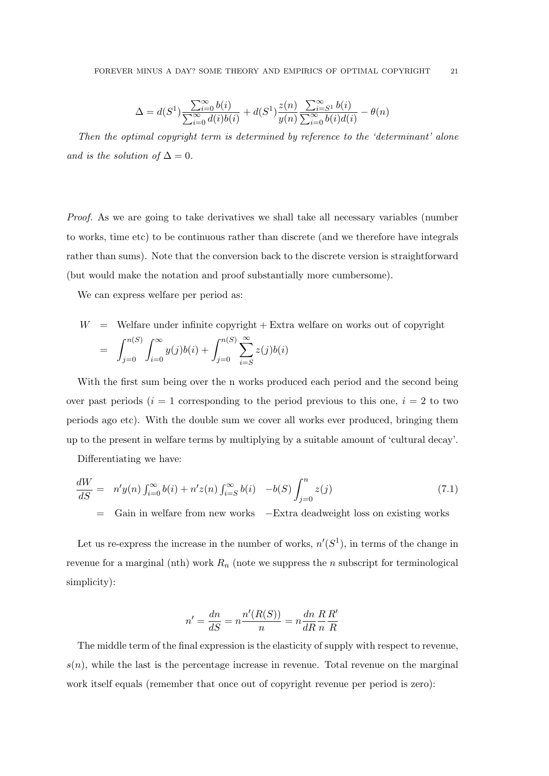$$
\Delta = d(S^1) \frac{\sum_{i=0}^{\infty} b(i)}{\sum_{i=0}^{\infty} d(i)b(i)} + d(S^1) \frac{z(n)}{y(n)} \frac{\sum_{i=0}^{\infty} b(i)}{\sum_{i=0}^{\infty} b(i)d(i)} - \theta(n)
$$

Then the optimal copyright term is determined by reference to the 'determinant' alone and is the solution of  $\Delta = 0$ .

Proof. As we are going to take derivatives we shall take all necessary variables (number to works, time etc) to be continuous rather than discrete (and we therefore have integrals rather than sums). Note that the conversion back to the discrete version is straightforward (but would make the notation and proof substantially more cumbersome).

We can express welfare per period as:

$$
W = \text{Welfare under infinite copyright} + \text{Extra welfare on works out of copyright}
$$
\n
$$
= \int_{j=0}^{n(S)} \int_{i=0}^{\infty} y(j)b(i) + \int_{j=0}^{n(S)} \sum_{i=S}^{\infty} z(j)b(i)
$$

With the first sum being over the n works produced each period and the second being over past periods ( $i = 1$  corresponding to the period previous to this one,  $i = 2$  to two periods ago etc). With the double sum we cover all works ever produced, bringing them up to the present in welfare terms by multiplying by a suitable amount of 'cultural decay'.

Differentiating we have:

$$
\frac{dW}{dS} = n'y(n) \int_{i=0}^{\infty} b(i) + n'z(n) \int_{i=S}^{\infty} b(i) -b(S) \int_{j=0}^{n} z(j)
$$
\n(7.1)

= Gain in welfare from new works −Extra deadweight loss on existing works

Let us re-express the increase in the number of works,  $n'(S^1)$ , in terms of the change in revenue for a marginal (nth) work  $R_n$  (note we suppress the *n* subscript for terminological simplicity):

$$
n' = \frac{dn}{dS} = n\frac{n'(R(S))}{n} = n\frac{dn}{dR}\frac{R}{n}\frac{R'}{R}
$$

The middle term of the final expression is the elasticity of supply with respect to revenue,  $s(n)$ , while the last is the percentage increase in revenue. Total revenue on the marginal work itself equals (remember that once out of copyright revenue per period is zero):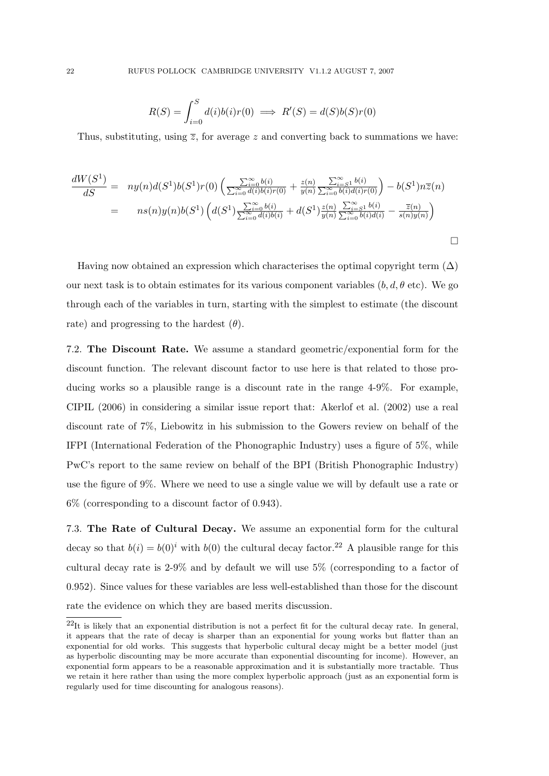$$
R(S) = \int_{i=0}^{S} d(i)b(i)r(0) \implies R'(S) = d(S)b(S)r(0)
$$

Thus, substituting, using  $\overline{z}$ , for average z and converting back to summations we have:

$$
\frac{dW(S^1)}{dS} = ny(n)d(S^1)b(S^1)r(0)\left(\frac{\sum_{i=0}^{\infty}b(i)}{\sum_{i=0}^{\infty}d(i)b(i)r(0)} + \frac{z(n)}{y(n)}\frac{\sum_{i=0}^{\infty}b(i)}{\sum_{i=0}^{\infty}b(i)d(i)r(0)}\right) - b(S^1)n\overline{z}(n)
$$
\n
$$
= ns(n)y(n)b(S^1)\left(d(S^1)\frac{\sum_{i=0}^{\infty}b(i)}{\sum_{i=0}^{\infty}d(i)b(i)} + d(S^1)\frac{z(n)}{y(n)}\frac{\sum_{i=0}^{\infty}b(i)}{\sum_{i=0}^{\infty}b(i)d(i)} - \frac{\overline{z}(n)}{s(n)y(n)}\right)
$$

Having now obtained an expression which characterises the optimal copyright term  $(\Delta)$ our next task is to obtain estimates for its various component variables  $(b, d, \theta \text{ etc})$ . We go through each of the variables in turn, starting with the simplest to estimate (the discount rate) and progressing to the hardest  $(\theta)$ .

7.2. The Discount Rate. We assume a standard geometric/exponential form for the discount function. The relevant discount factor to use here is that related to those producing works so a plausible range is a discount rate in the range 4-9%. For example, CIPIL (2006) in considering a similar issue report that: Akerlof et al. (2002) use a real discount rate of 7%, Liebowitz in his submission to the Gowers review on behalf of the IFPI (International Federation of the Phonographic Industry) uses a figure of 5%, while PwC's report to the same review on behalf of the BPI (British Phonographic Industry) use the figure of 9%. Where we need to use a single value we will by default use a rate or 6% (corresponding to a discount factor of 0.943).

7.3. The Rate of Cultural Decay. We assume an exponential form for the cultural decay so that  $b(i) = b(0)^i$  with  $b(0)$  the cultural decay factor.<sup>22</sup> A plausible range for this cultural decay rate is 2-9% and by default we will use 5% (corresponding to a factor of 0.952). Since values for these variables are less well-established than those for the discount rate the evidence on which they are based merits discussion.

 $^{22}$ It is likely that an exponential distribution is not a perfect fit for the cultural decay rate. In general, it appears that the rate of decay is sharper than an exponential for young works but flatter than an exponential for old works. This suggests that hyperbolic cultural decay might be a better model (just as hyperbolic discounting may be more accurate than exponential discounting for income). However, an exponential form appears to be a reasonable approximation and it is substantially more tractable. Thus we retain it here rather than using the more complex hyperbolic approach (just as an exponential form is regularly used for time discounting for analogous reasons).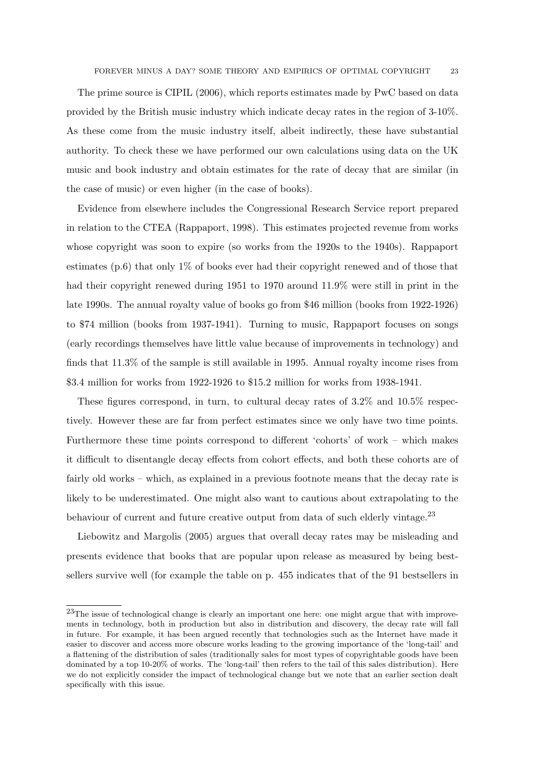The prime source is CIPIL (2006), which reports estimates made by PwC based on data provided by the British music industry which indicate decay rates in the region of 3-10%. As these come from the music industry itself, albeit indirectly, these have substantial authority. To check these we have performed our own calculations using data on the UK music and book industry and obtain estimates for the rate of decay that are similar (in the case of music) or even higher (in the case of books).

Evidence from elsewhere includes the Congressional Research Service report prepared in relation to the CTEA (Rappaport, 1998). This estimates projected revenue from works whose copyright was soon to expire (so works from the 1920s to the 1940s). Rappaport estimates (p.6) that only 1% of books ever had their copyright renewed and of those that had their copyright renewed during 1951 to 1970 around 11.9% were still in print in the late 1990s. The annual royalty value of books go from \$46 million (books from 1922-1926) to \$74 million (books from 1937-1941). Turning to music, Rappaport focuses on songs (early recordings themselves have little value because of improvements in technology) and finds that 11.3% of the sample is still available in 1995. Annual royalty income rises from \$3.4 million for works from 1922-1926 to \$15.2 million for works from 1938-1941.

These figures correspond, in turn, to cultural decay rates of 3.2% and 10.5% respectively. However these are far from perfect estimates since we only have two time points. Furthermore these time points correspond to different 'cohorts' of work – which makes it difficult to disentangle decay effects from cohort effects, and both these cohorts are of fairly old works – which, as explained in a previous footnote means that the decay rate is likely to be underestimated. One might also want to cautious about extrapolating to the behaviour of current and future creative output from data of such elderly vintage.<sup>23</sup>

Liebowitz and Margolis (2005) argues that overall decay rates may be misleading and presents evidence that books that are popular upon release as measured by being bestsellers survive well (for example the table on p. 455 indicates that of the 91 bestsellers in

<sup>&</sup>lt;sup>23</sup>The issue of technological change is clearly an important one here: one might argue that with improvements in technology, both in production but also in distribution and discovery, the decay rate will fall in future. For example, it has been argued recently that technologies such as the Internet have made it easier to discover and access more obscure works leading to the growing importance of the 'long-tail' and a flattening of the distribution of sales (traditionally sales for most types of copyrightable goods have been dominated by a top 10-20% of works. The 'long-tail' then refers to the tail of this sales distribution). Here we do not explicitly consider the impact of technological change but we note that an earlier section dealt specifically with this issue.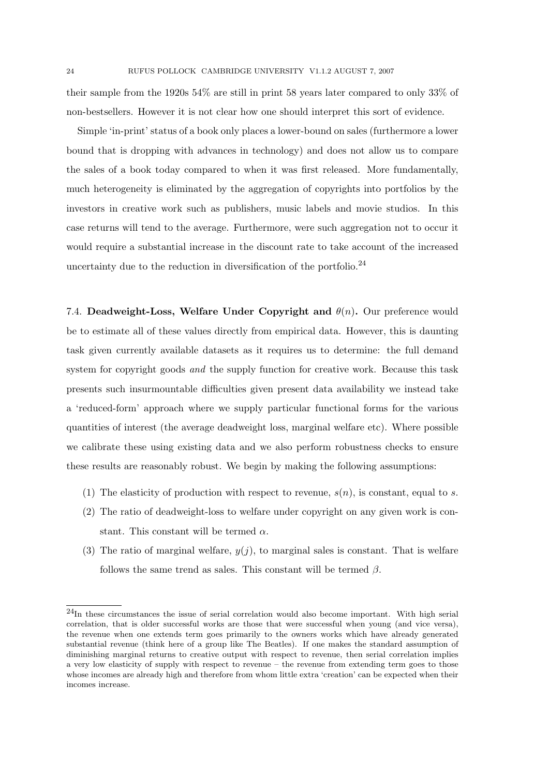their sample from the 1920s 54% are still in print 58 years later compared to only 33% of non-bestsellers. However it is not clear how one should interpret this sort of evidence.

Simple 'in-print' status of a book only places a lower-bound on sales (furthermore a lower bound that is dropping with advances in technology) and does not allow us to compare the sales of a book today compared to when it was first released. More fundamentally, much heterogeneity is eliminated by the aggregation of copyrights into portfolios by the investors in creative work such as publishers, music labels and movie studios. In this case returns will tend to the average. Furthermore, were such aggregation not to occur it would require a substantial increase in the discount rate to take account of the increased uncertainty due to the reduction in diversification of the portfolio. $^{24}$ 

7.4. Deadweight-Loss, Welfare Under Copyright and  $\theta(n)$ . Our preference would be to estimate all of these values directly from empirical data. However, this is daunting task given currently available datasets as it requires us to determine: the full demand system for copyright goods and the supply function for creative work. Because this task presents such insurmountable difficulties given present data availability we instead take a 'reduced-form' approach where we supply particular functional forms for the various quantities of interest (the average deadweight loss, marginal welfare etc). Where possible we calibrate these using existing data and we also perform robustness checks to ensure these results are reasonably robust. We begin by making the following assumptions:

- (1) The elasticity of production with respect to revenue,  $s(n)$ , is constant, equal to s.
- (2) The ratio of deadweight-loss to welfare under copyright on any given work is constant. This constant will be termed  $\alpha$ .
- (3) The ratio of marginal welfare,  $y(i)$ , to marginal sales is constant. That is welfare follows the same trend as sales. This constant will be termed  $\beta$ .

<sup>24</sup>In these circumstances the issue of serial correlation would also become important. With high serial correlation, that is older successful works are those that were successful when young (and vice versa), the revenue when one extends term goes primarily to the owners works which have already generated substantial revenue (think here of a group like The Beatles). If one makes the standard assumption of diminishing marginal returns to creative output with respect to revenue, then serial correlation implies a very low elasticity of supply with respect to revenue – the revenue from extending term goes to those whose incomes are already high and therefore from whom little extra 'creation' can be expected when their incomes increase.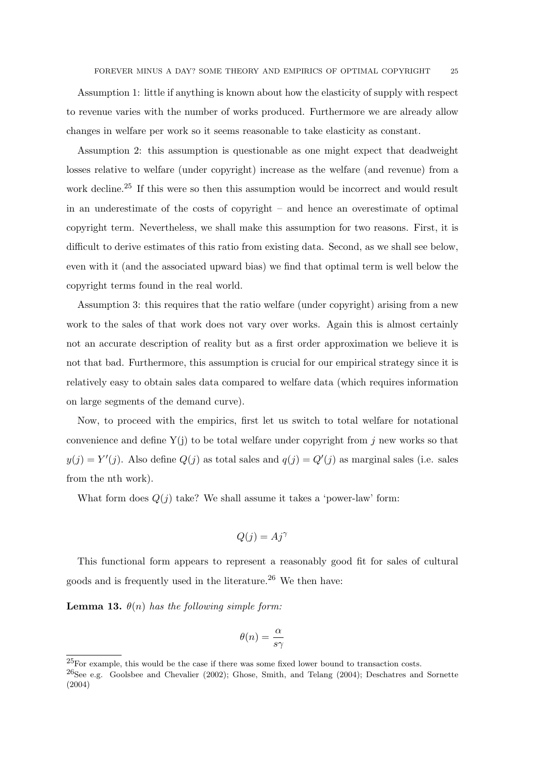Assumption 1: little if anything is known about how the elasticity of supply with respect to revenue varies with the number of works produced. Furthermore we are already allow changes in welfare per work so it seems reasonable to take elasticity as constant.

Assumption 2: this assumption is questionable as one might expect that deadweight losses relative to welfare (under copyright) increase as the welfare (and revenue) from a work decline.<sup>25</sup> If this were so then this assumption would be incorrect and would result in an underestimate of the costs of copyright – and hence an overestimate of optimal copyright term. Nevertheless, we shall make this assumption for two reasons. First, it is difficult to derive estimates of this ratio from existing data. Second, as we shall see below, even with it (and the associated upward bias) we find that optimal term is well below the copyright terms found in the real world.

Assumption 3: this requires that the ratio welfare (under copyright) arising from a new work to the sales of that work does not vary over works. Again this is almost certainly not an accurate description of reality but as a first order approximation we believe it is not that bad. Furthermore, this assumption is crucial for our empirical strategy since it is relatively easy to obtain sales data compared to welfare data (which requires information on large segments of the demand curve).

Now, to proceed with the empirics, first let us switch to total welfare for notational convenience and define  $Y(j)$  to be total welfare under copyright from j new works so that  $y(j) = Y'(j)$ . Also define  $Q(j)$  as total sales and  $q(j) = Q'(j)$  as marginal sales (i.e. sales from the nth work).

What form does  $Q(j)$  take? We shall assume it takes a 'power-law' form:

$$
Q(j) = Aj^{\gamma}
$$

This functional form appears to represent a reasonably good fit for sales of cultural goods and is frequently used in the literature.<sup>26</sup> We then have:

**Lemma 13.**  $\theta(n)$  has the following simple form:

$$
\theta(n) = \frac{\alpha}{s\gamma}
$$

 ${}^{25}$ For example, this would be the case if there was some fixed lower bound to transaction costs.

<sup>26</sup>See e.g. Goolsbee and Chevalier (2002); Ghose, Smith, and Telang (2004); Deschatres and Sornette (2004)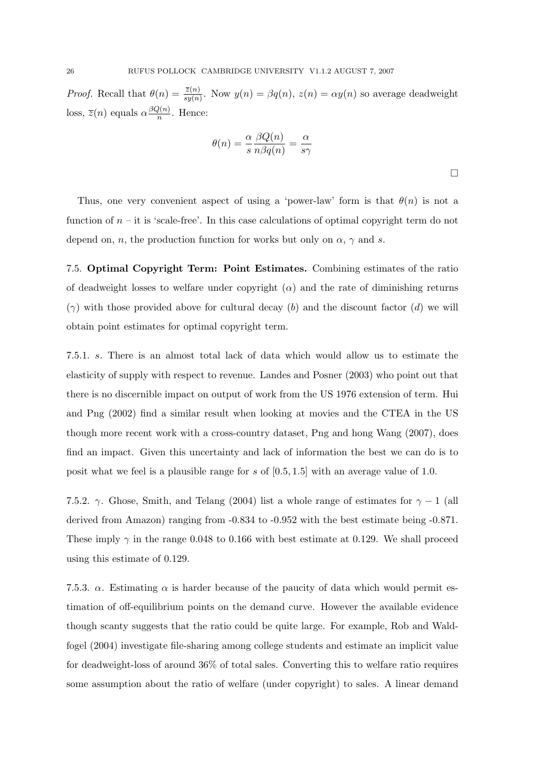*Proof.* Recall that  $\theta(n) = \frac{\bar{z}(n)}{sy(n)}$ . Now  $y(n) = \beta q(n)$ ,  $z(n) = \alpha y(n)$  so average deadweight loss,  $\overline{z}(n)$  equals  $\alpha \frac{\beta Q(n)}{n}$  $\frac{2(n)}{n}$ . Hence:

$$
\theta(n) = \frac{\alpha}{s} \frac{\beta Q(n)}{n \beta q(n)} = \frac{\alpha}{s\gamma}
$$

 $\Box$ 

Thus, one very convenient aspect of using a 'power-law' form is that  $\theta(n)$  is not a function of  $n - it$  is 'scale-free'. In this case calculations of optimal copyright term do not depend on, n, the production function for works but only on  $\alpha$ ,  $\gamma$  and s.

7.5. Optimal Copyright Term: Point Estimates. Combining estimates of the ratio of deadweight losses to welfare under copyright  $(\alpha)$  and the rate of diminishing returns  $(\gamma)$  with those provided above for cultural decay (b) and the discount factor (d) we will obtain point estimates for optimal copyright term.

7.5.1. s. There is an almost total lack of data which would allow us to estimate the elasticity of supply with respect to revenue. Landes and Posner (2003) who point out that there is no discernible impact on output of work from the US 1976 extension of term. Hui and Png (2002) find a similar result when looking at movies and the CTEA in the US though more recent work with a cross-country dataset, Png and hong Wang (2007), does find an impact. Given this uncertainty and lack of information the best we can do is to posit what we feel is a plausible range for s of  $[0.5, 1.5]$  with an average value of 1.0.

7.5.2.  $\gamma$ . Ghose, Smith, and Telang (2004) list a whole range of estimates for  $\gamma - 1$  (all derived from Amazon) ranging from -0.834 to -0.952 with the best estimate being -0.871. These imply  $\gamma$  in the range 0.048 to 0.166 with best estimate at 0.129. We shall proceed using this estimate of 0.129.

7.5.3.  $\alpha$ . Estimating  $\alpha$  is harder because of the paucity of data which would permit estimation of off-equilibrium points on the demand curve. However the available evidence though scanty suggests that the ratio could be quite large. For example, Rob and Waldfogel (2004) investigate file-sharing among college students and estimate an implicit value for deadweight-loss of around 36% of total sales. Converting this to welfare ratio requires some assumption about the ratio of welfare (under copyright) to sales. A linear demand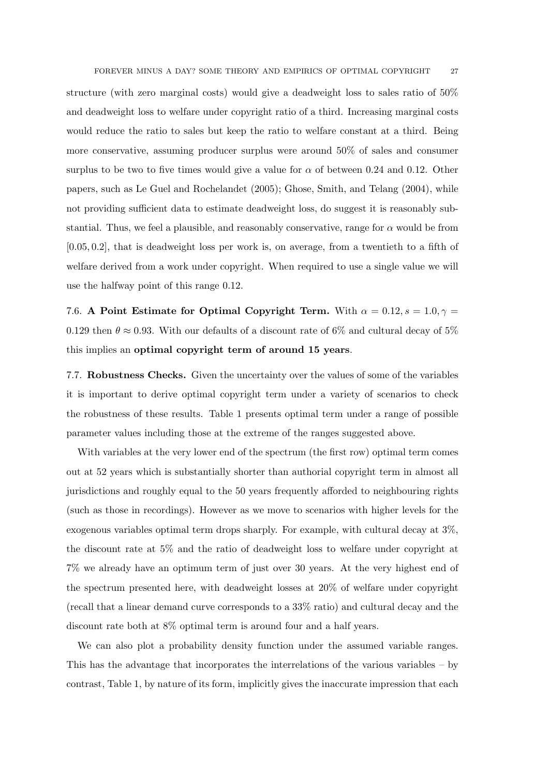FOREVER MINUS A DAY? SOME THEORY AND EMPIRICS OF OPTIMAL COPYRIGHT 27

structure (with zero marginal costs) would give a deadweight loss to sales ratio of 50% and deadweight loss to welfare under copyright ratio of a third. Increasing marginal costs would reduce the ratio to sales but keep the ratio to welfare constant at a third. Being more conservative, assuming producer surplus were around 50% of sales and consumer surplus to be two to five times would give a value for  $\alpha$  of between 0.24 and 0.12. Other papers, such as Le Guel and Rochelandet (2005); Ghose, Smith, and Telang (2004), while not providing sufficient data to estimate deadweight loss, do suggest it is reasonably substantial. Thus, we feel a plausible, and reasonably conservative, range for  $\alpha$  would be from [0.05, 0.2], that is deadweight loss per work is, on average, from a twentieth to a fifth of welfare derived from a work under copyright. When required to use a single value we will use the halfway point of this range 0.12.

7.6. A Point Estimate for Optimal Copyright Term. With  $\alpha = 0.12$ ,  $s = 1.0$ ,  $\gamma =$ 0.129 then  $\theta \approx 0.93$ . With our defaults of a discount rate of 6% and cultural decay of 5% this implies an optimal copyright term of around 15 years.

7.7. Robustness Checks. Given the uncertainty over the values of some of the variables it is important to derive optimal copyright term under a variety of scenarios to check the robustness of these results. Table 1 presents optimal term under a range of possible parameter values including those at the extreme of the ranges suggested above.

With variables at the very lower end of the spectrum (the first row) optimal term comes out at 52 years which is substantially shorter than authorial copyright term in almost all jurisdictions and roughly equal to the 50 years frequently afforded to neighbouring rights (such as those in recordings). However as we move to scenarios with higher levels for the exogenous variables optimal term drops sharply. For example, with cultural decay at 3%, the discount rate at 5% and the ratio of deadweight loss to welfare under copyright at 7% we already have an optimum term of just over 30 years. At the very highest end of the spectrum presented here, with deadweight losses at 20% of welfare under copyright (recall that a linear demand curve corresponds to a 33% ratio) and cultural decay and the discount rate both at 8% optimal term is around four and a half years.

We can also plot a probability density function under the assumed variable ranges. This has the advantage that incorporates the interrelations of the various variables – by contrast, Table 1, by nature of its form, implicitly gives the inaccurate impression that each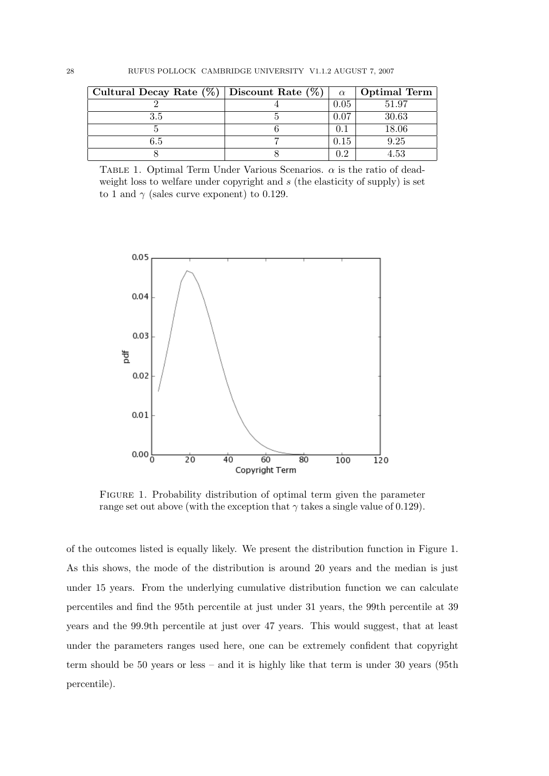| Cultural Decay Rate $(\%)$ Discount Rate $(\%)$ | $\alpha$ | <b>Optimal Term</b> |
|-------------------------------------------------|----------|---------------------|
|                                                 | J.O5     | 51.97               |
|                                                 |          | 30.63               |
|                                                 |          | 18.06               |
|                                                 |          | 9.25                |
|                                                 | ററ       | 4.53                |

TABLE 1. Optimal Term Under Various Scenarios.  $\alpha$  is the ratio of deadweight loss to welfare under copyright and  $s$  (the elasticity of supply) is set to 1 and  $\gamma$  (sales curve exponent) to 0.129.



Figure 1. Probability distribution of optimal term given the parameter range set out above (with the exception that  $\gamma$  takes a single value of 0.129).

of the outcomes listed is equally likely. We present the distribution function in Figure 1. As this shows, the mode of the distribution is around 20 years and the median is just under 15 years. From the underlying cumulative distribution function we can calculate percentiles and find the 95th percentile at just under 31 years, the 99th percentile at 39 years and the 99.9th percentile at just over 47 years. This would suggest, that at least under the parameters ranges used here, one can be extremely confident that copyright term should be 50 years or less – and it is highly like that term is under 30 years (95th percentile).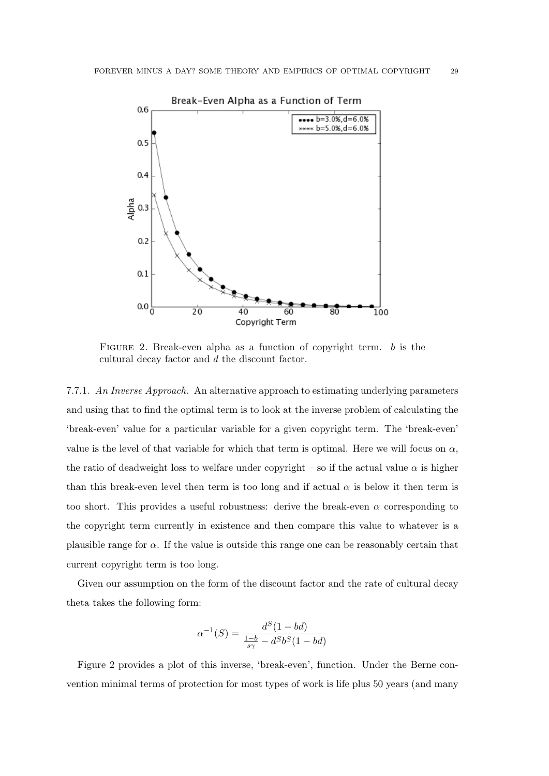

FIGURE 2. Break-even alpha as a function of copyright term.  $b$  is the cultural decay factor and d the discount factor.

7.7.1. An Inverse Approach. An alternative approach to estimating underlying parameters and using that to find the optimal term is to look at the inverse problem of calculating the 'break-even' value for a particular variable for a given copyright term. The 'break-even' value is the level of that variable for which that term is optimal. Here we will focus on  $\alpha$ , the ratio of deadweight loss to welfare under copyright – so if the actual value  $\alpha$  is higher than this break-even level then term is too long and if actual  $\alpha$  is below it then term is too short. This provides a useful robustness: derive the break-even  $\alpha$  corresponding to the copyright term currently in existence and then compare this value to whatever is a plausible range for  $\alpha$ . If the value is outside this range one can be reasonably certain that current copyright term is too long.

Given our assumption on the form of the discount factor and the rate of cultural decay theta takes the following form:

$$
\alpha^{-1}(S) = \frac{d^{S}(1 - bd)}{\frac{1 - b}{s\gamma} - d^{S}b^{S}(1 - bd)}
$$

Figure 2 provides a plot of this inverse, 'break-even', function. Under the Berne convention minimal terms of protection for most types of work is life plus 50 years (and many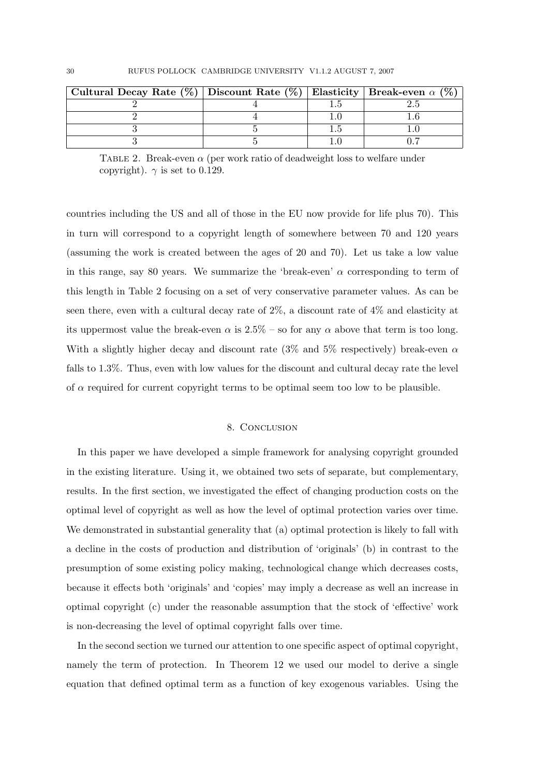| Cultural Decay Rate (%)   Discount Rate (%)   Elasticity <del>  Break-even</del> $\alpha$ (%) |  |  |
|-----------------------------------------------------------------------------------------------|--|--|
|                                                                                               |  |  |
|                                                                                               |  |  |
|                                                                                               |  |  |
|                                                                                               |  |  |

TABLE 2. Break-even  $\alpha$  (per work ratio of deadweight loss to welfare under copyright).  $\gamma$  is set to 0.129.

countries including the US and all of those in the EU now provide for life plus 70). This in turn will correspond to a copyright length of somewhere between 70 and 120 years (assuming the work is created between the ages of 20 and 70). Let us take a low value in this range, say 80 years. We summarize the 'break-even'  $\alpha$  corresponding to term of this length in Table 2 focusing on a set of very conservative parameter values. As can be seen there, even with a cultural decay rate of 2%, a discount rate of 4% and elasticity at its uppermost value the break-even  $\alpha$  is 2.5% – so for any  $\alpha$  above that term is too long. With a slightly higher decay and discount rate (3\%) and 5\% respectively) break-even  $\alpha$ falls to 1.3%. Thus, even with low values for the discount and cultural decay rate the level of  $\alpha$  required for current copyright terms to be optimal seem too low to be plausible.

## 8. CONCLUSION

In this paper we have developed a simple framework for analysing copyright grounded in the existing literature. Using it, we obtained two sets of separate, but complementary, results. In the first section, we investigated the effect of changing production costs on the optimal level of copyright as well as how the level of optimal protection varies over time. We demonstrated in substantial generality that (a) optimal protection is likely to fall with a decline in the costs of production and distribution of 'originals' (b) in contrast to the presumption of some existing policy making, technological change which decreases costs, because it effects both 'originals' and 'copies' may imply a decrease as well an increase in optimal copyright (c) under the reasonable assumption that the stock of 'effective' work is non-decreasing the level of optimal copyright falls over time.

In the second section we turned our attention to one specific aspect of optimal copyright, namely the term of protection. In Theorem 12 we used our model to derive a single equation that defined optimal term as a function of key exogenous variables. Using the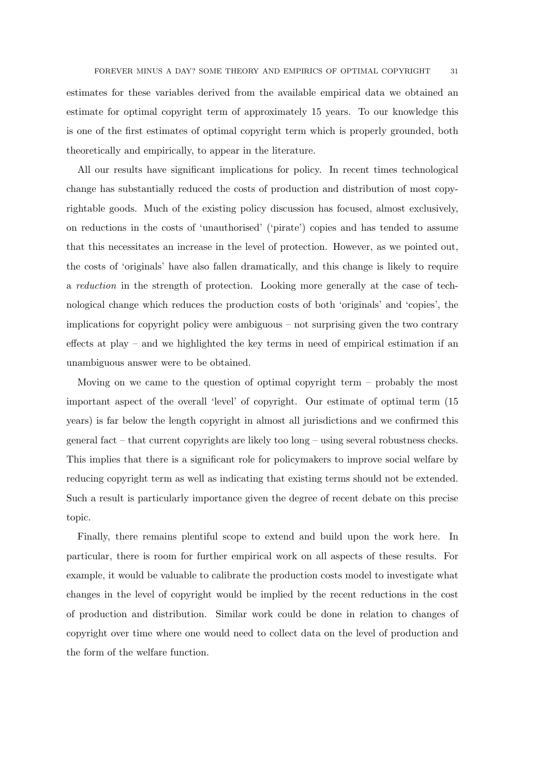estimates for these variables derived from the available empirical data we obtained an estimate for optimal copyright term of approximately 15 years. To our knowledge this is one of the first estimates of optimal copyright term which is properly grounded, both theoretically and empirically, to appear in the literature.

All our results have significant implications for policy. In recent times technological change has substantially reduced the costs of production and distribution of most copyrightable goods. Much of the existing policy discussion has focused, almost exclusively, on reductions in the costs of 'unauthorised' ('pirate') copies and has tended to assume that this necessitates an increase in the level of protection. However, as we pointed out, the costs of 'originals' have also fallen dramatically, and this change is likely to require a reduction in the strength of protection. Looking more generally at the case of technological change which reduces the production costs of both 'originals' and 'copies', the implications for copyright policy were ambiguous – not surprising given the two contrary effects at play – and we highlighted the key terms in need of empirical estimation if an unambiguous answer were to be obtained.

Moving on we came to the question of optimal copyright term – probably the most important aspect of the overall 'level' of copyright. Our estimate of optimal term (15 years) is far below the length copyright in almost all jurisdictions and we confirmed this general fact – that current copyrights are likely too long – using several robustness checks. This implies that there is a significant role for policymakers to improve social welfare by reducing copyright term as well as indicating that existing terms should not be extended. Such a result is particularly importance given the degree of recent debate on this precise topic.

Finally, there remains plentiful scope to extend and build upon the work here. In particular, there is room for further empirical work on all aspects of these results. For example, it would be valuable to calibrate the production costs model to investigate what changes in the level of copyright would be implied by the recent reductions in the cost of production and distribution. Similar work could be done in relation to changes of copyright over time where one would need to collect data on the level of production and the form of the welfare function.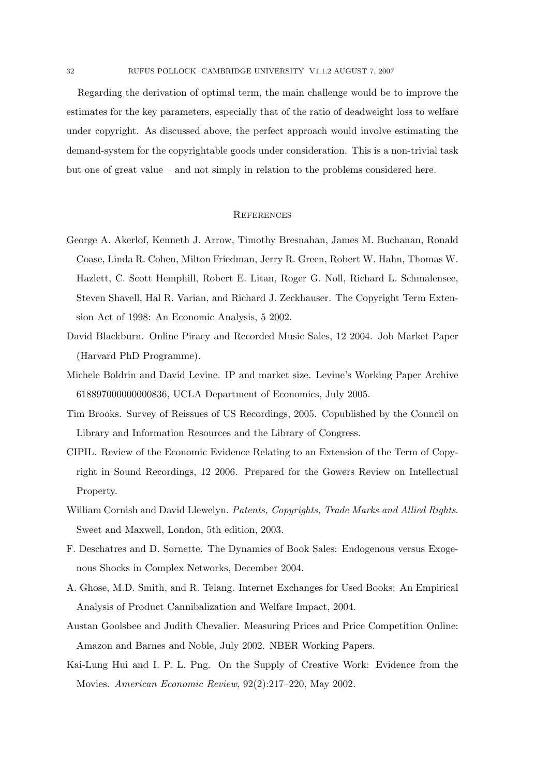Regarding the derivation of optimal term, the main challenge would be to improve the estimates for the key parameters, especially that of the ratio of deadweight loss to welfare under copyright. As discussed above, the perfect approach would involve estimating the demand-system for the copyrightable goods under consideration. This is a non-trivial task but one of great value – and not simply in relation to the problems considered here.

### **REFERENCES**

- George A. Akerlof, Kenneth J. Arrow, Timothy Bresnahan, James M. Buchanan, Ronald Coase, Linda R. Cohen, Milton Friedman, Jerry R. Green, Robert W. Hahn, Thomas W. Hazlett, C. Scott Hemphill, Robert E. Litan, Roger G. Noll, Richard L. Schmalensee, Steven Shavell, Hal R. Varian, and Richard J. Zeckhauser. The Copyright Term Extension Act of 1998: An Economic Analysis, 5 2002.
- David Blackburn. Online Piracy and Recorded Music Sales, 12 2004. Job Market Paper (Harvard PhD Programme).
- Michele Boldrin and David Levine. IP and market size. Levine's Working Paper Archive 618897000000000836, UCLA Department of Economics, July 2005.
- Tim Brooks. Survey of Reissues of US Recordings, 2005. Copublished by the Council on Library and Information Resources and the Library of Congress.
- CIPIL. Review of the Economic Evidence Relating to an Extension of the Term of Copyright in Sound Recordings, 12 2006. Prepared for the Gowers Review on Intellectual Property.
- William Cornish and David Llewelyn. Patents, Copyrights, Trade Marks and Allied Rights. Sweet and Maxwell, London, 5th edition, 2003.
- F. Deschatres and D. Sornette. The Dynamics of Book Sales: Endogenous versus Exogenous Shocks in Complex Networks, December 2004.
- A. Ghose, M.D. Smith, and R. Telang. Internet Exchanges for Used Books: An Empirical Analysis of Product Cannibalization and Welfare Impact, 2004.
- Austan Goolsbee and Judith Chevalier. Measuring Prices and Price Competition Online: Amazon and Barnes and Noble, July 2002. NBER Working Papers.
- Kai-Lung Hui and I. P. L. Png. On the Supply of Creative Work: Evidence from the Movies. American Economic Review, 92(2):217–220, May 2002.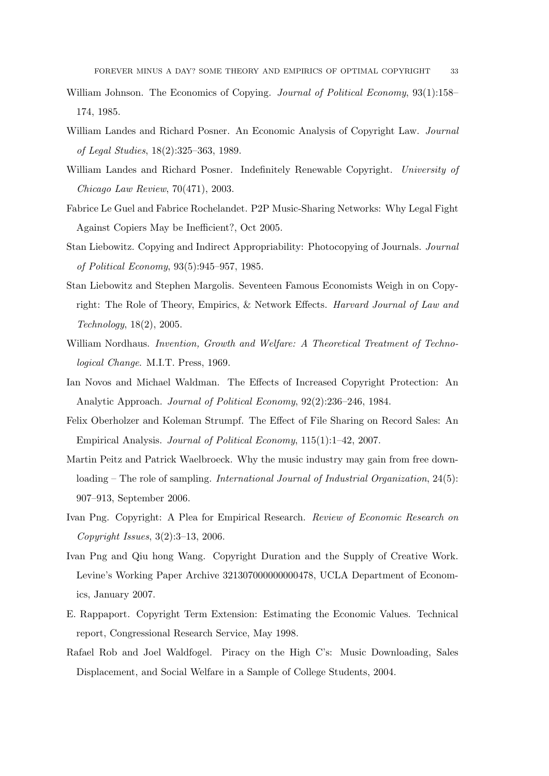- William Johnson. The Economics of Copying. *Journal of Political Economy*, 93(1):158– 174, 1985.
- William Landes and Richard Posner. An Economic Analysis of Copyright Law. Journal of Legal Studies, 18(2):325–363, 1989.
- William Landes and Richard Posner. Indefinitely Renewable Copyright. University of Chicago Law Review, 70(471), 2003.
- Fabrice Le Guel and Fabrice Rochelandet. P2P Music-Sharing Networks: Why Legal Fight Against Copiers May be Inefficient?, Oct 2005.
- Stan Liebowitz. Copying and Indirect Appropriability: Photocopying of Journals. Journal of Political Economy, 93(5):945–957, 1985.
- Stan Liebowitz and Stephen Margolis. Seventeen Famous Economists Weigh in on Copyright: The Role of Theory, Empirics, & Network Effects. Harvard Journal of Law and Technology, 18(2), 2005.
- William Nordhaus. Invention, Growth and Welfare: A Theoretical Treatment of Technological Change. M.I.T. Press, 1969.
- Ian Novos and Michael Waldman. The Effects of Increased Copyright Protection: An Analytic Approach. Journal of Political Economy, 92(2):236–246, 1984.
- Felix Oberholzer and Koleman Strumpf. The Effect of File Sharing on Record Sales: An Empirical Analysis. Journal of Political Economy, 115(1):1–42, 2007.
- Martin Peitz and Patrick Waelbroeck. Why the music industry may gain from free downloading – The role of sampling. International Journal of Industrial Organization, 24(5): 907–913, September 2006.
- Ivan Png. Copyright: A Plea for Empirical Research. Review of Economic Research on Copyright Issues, 3(2):3–13, 2006.
- Ivan Png and Qiu hong Wang. Copyright Duration and the Supply of Creative Work. Levine's Working Paper Archive 321307000000000478, UCLA Department of Economics, January 2007.
- E. Rappaport. Copyright Term Extension: Estimating the Economic Values. Technical report, Congressional Research Service, May 1998.
- Rafael Rob and Joel Waldfogel. Piracy on the High C's: Music Downloading, Sales Displacement, and Social Welfare in a Sample of College Students, 2004.